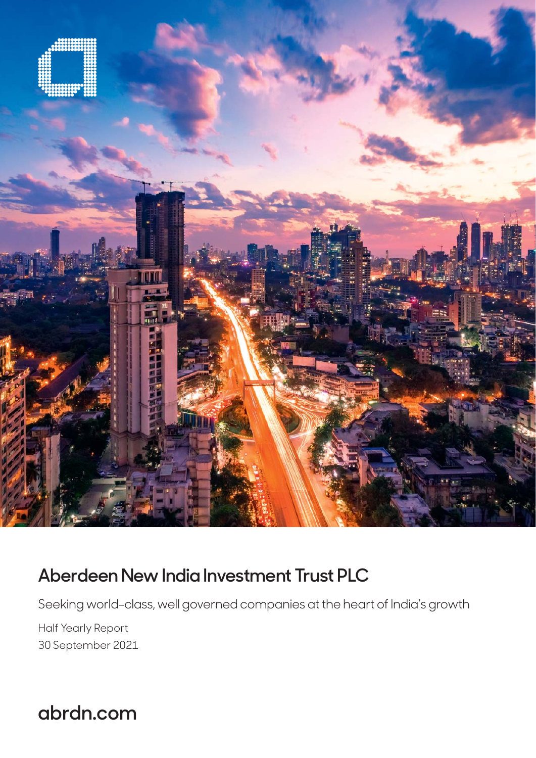

## **Aberdeen New India Investment Trust PLC**

Seeking world-class, well governed companies at the heart of India's growth

Half Yearly Report 30 September 2021

## **abrdn.com**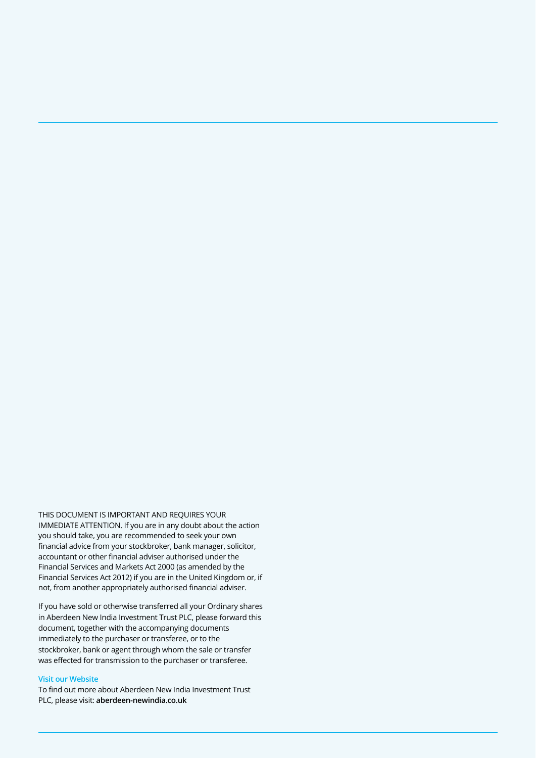THIS DOCUMENT IS IMPORTANT AND REQUIRES YOUR IMMEDIATE ATTENTION. If you are in any doubt about the action you should take, you are recommended to seek your own financial advice from your stockbroker, bank manager, solicitor, accountant or other financial adviser authorised under the Financial Services and Markets Act 2000 (as amended by the Financial Services Act 2012) if you are in the United Kingdom or, if not, from another appropriately authorised financial adviser.

If you have sold or otherwise transferred all your Ordinary shares in Aberdeen New India Investment Trust PLC, please forward this document, together with the accompanying documents immediately to the purchaser or transferee, or to the stockbroker, bank or agent through whom the sale or transfer was effected for transmission to the purchaser or transferee.

#### **Visit our Website**

To find out more about Aberdeen New India Investment Trust PLC, please visit: **aberdeen-newindia.co.uk**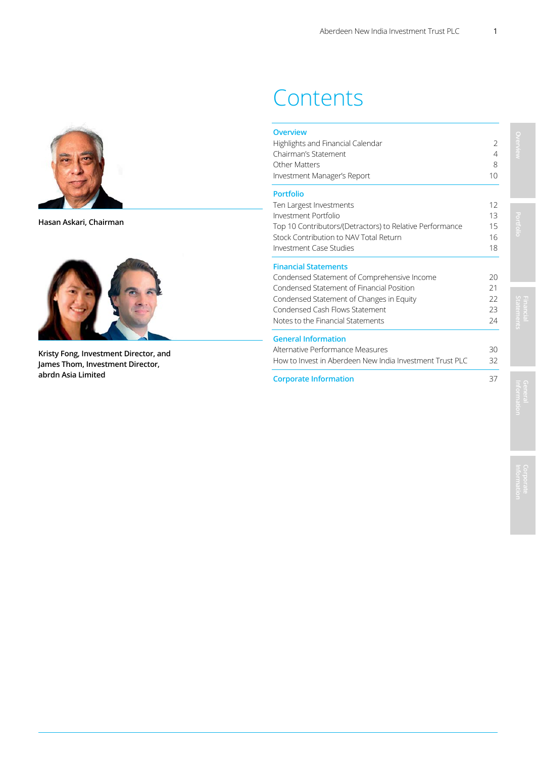## **Contents**

| <b>Overview</b><br>Highlights and Financial Calendar<br>Chairman's Statement<br>Other Matters<br>Investment Manager's Report                                                                                                               | $\overline{2}$<br>4<br>8<br>10 |
|--------------------------------------------------------------------------------------------------------------------------------------------------------------------------------------------------------------------------------------------|--------------------------------|
| <b>Portfolio</b><br>Ten Largest Investments<br>Investment Portfolio<br>Top 10 Contributors/(Detractors) to Relative Performance<br>Stock Contribution to NAV Total Return<br><b>Investment Case Studies</b>                                | 12<br>13<br>15<br>16<br>18     |
| <b>Financial Statements</b><br>Condensed Statement of Comprehensive Income<br>Condensed Statement of Financial Position<br>Condensed Statement of Changes in Equity<br>Condensed Cash Flows Statement<br>Notes to the Financial Statements | 20<br>21<br>22<br>23<br>24     |
| <b>General Information</b><br>Alternative Performance Measures<br>How to Invest in Aberdeen New India Investment Trust PLC<br><b>Corporate Information</b>                                                                                 | 30<br>32<br>37                 |



**Hasan Askari, Chairman** 



**Kristy Fong, Investment Director, and James Thom, Investment Director, abrdn Asia Limited** 

**Overview Portfolio Statements**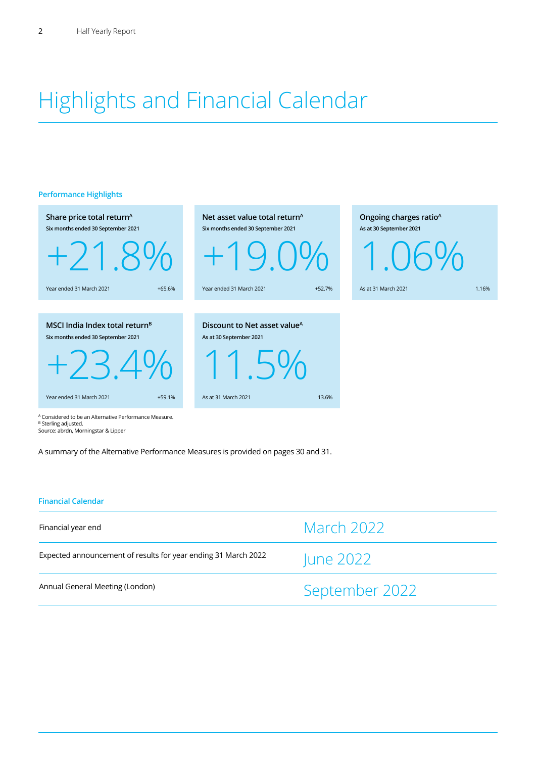# Highlights and Financial Calendar

#### **Performance Highlights**



<sup>A</sup> Considered to be an Alternative Performance Measure.<br><sup>B</sup> Sterling adjusted.<br>Source: abrdn, Morningstar & Lipper

A summary of the Alternative Performance Measures is provided on pages 30 and 31.

#### **Financial Calendar**

| Financial year end                                             | March 2022     |
|----------------------------------------------------------------|----------------|
| Expected announcement of results for year ending 31 March 2022 | June 2022      |
| Annual General Meeting (London)                                | September 2022 |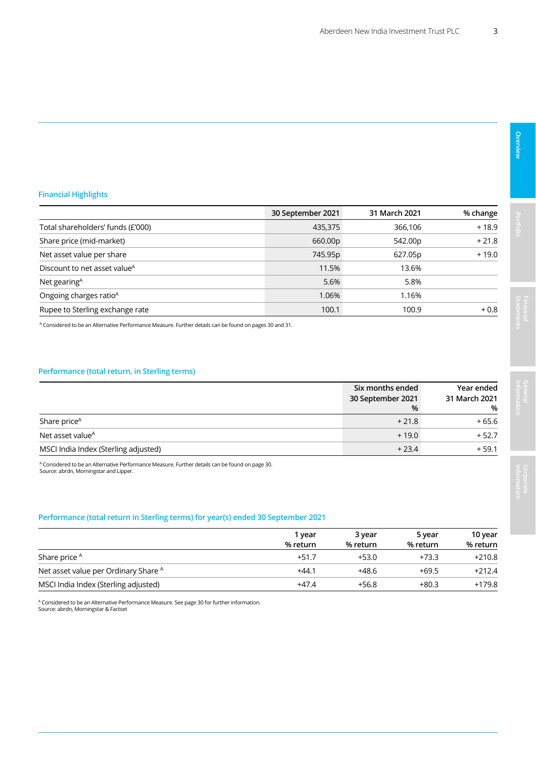# **Overview Portfolio Statements Statements**

Financial<br>Statements

### **Financial Highlights**

|                                          | 30 September 2021 | 31 March 2021 | % change |
|------------------------------------------|-------------------|---------------|----------|
| Total shareholders' funds (£'000)        | 435,375           | 366,106       | $+18.9$  |
| Share price (mid-market)                 | 660.00p           | 542.00p       | $+21.8$  |
| Net asset value per share                | 745.95p           | 627.05p       | $+19.0$  |
| Discount to net asset value <sup>A</sup> | 11.5%             | 13.6%         |          |
| Net gearing <sup>A</sup>                 | 5.6%              | 5.8%          |          |
| Ongoing charges ratio <sup>A</sup>       | 1.06%             | 1.16%         |          |
| Rupee to Sterling exchange rate          | 100.1             | 100.9         | $+0.8$   |

A Considered to be an Alternative Performance Measure. Further details can be found on pages 30 and 31.

#### **Performance (total return, in Sterling terms)**

|                                      | Six months ended<br>30 September 2021<br>% | Year ended<br>31 March 2021<br>% |
|--------------------------------------|--------------------------------------------|----------------------------------|
| Share price <sup>A</sup>             | $+21.8$                                    | $+65.6$                          |
| Net asset value <sup>A</sup>         | $+19.0$                                    | $+52.7$                          |
| MSCI India Index (Sterling adjusted) | $+23.4$                                    | $+59.1$                          |

A Considered to be an Alternative Performance Measure. Further details can be found on page 30. Source: abrdn, Morningstar and Lipper.

#### **Performance (total return in Sterling terms) for year(s) ended 30 September 2021**

|                                      | 1 vear   | 3 vear   | 5 vear   | 10 vear  |
|--------------------------------------|----------|----------|----------|----------|
|                                      | % return | % return | % return | % return |
| Share price A                        | $+51.7$  | $+53.0$  | $+73.3$  | $+210.8$ |
| Net asset value per Ordinary Share A | $+44.1$  | +48.6    | $+69.5$  | $+212.4$ |
| MSCI India Index (Sterling adjusted) | $+47.4$  | $+56.8$  | $+80.3$  | $+179.8$ |

A Considered to be an Alternative Performance Measure. See page 30 for further information. Source: abrdn, Morningstar & Factset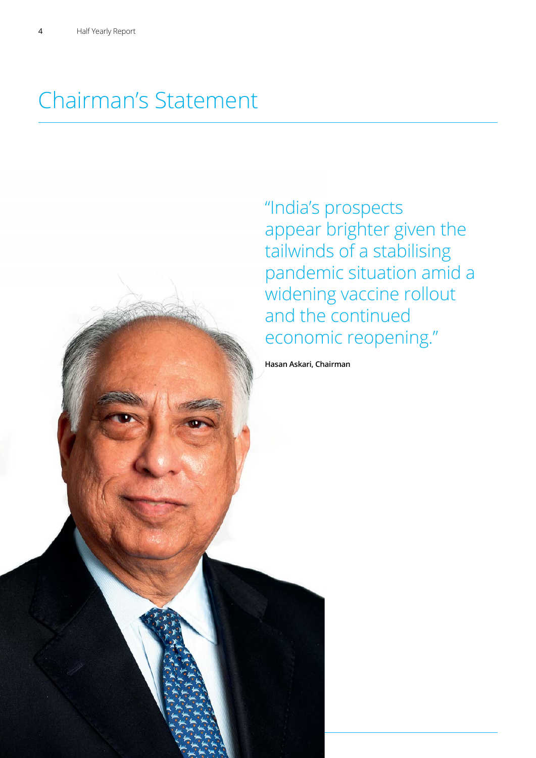## Chairman's Statement

"India's prospects appear brighter given the tailwinds of a stabilising pandemic situation amid a widening vaccine rollout and the continued economic reopening."

**Hasan Askari, Chairman**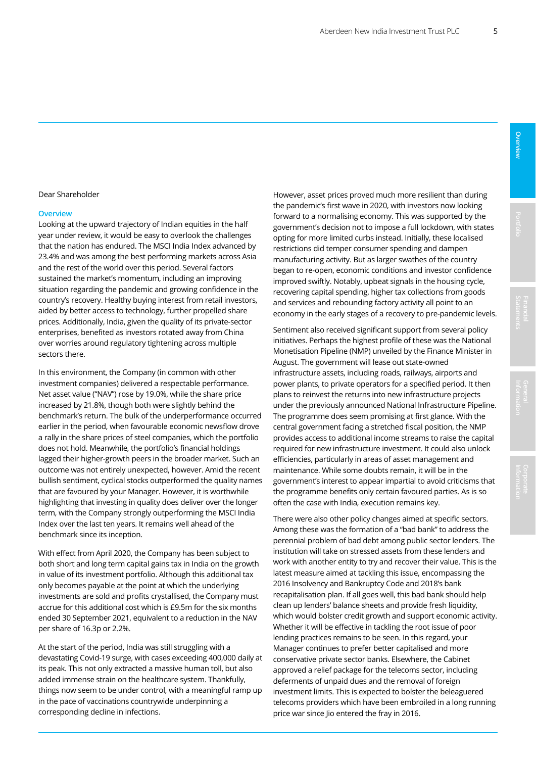# **Overview Portfolio Statements Statements**

#### Dear Shareholder

#### **Overview**

Looking at the upward trajectory of Indian equities in the half year under review, it would be easy to overlook the challenges that the nation has endured. The MSCI India Index advanced by 23.4% and was among the best performing markets across Asia and the rest of the world over this period. Several factors sustained the market's momentum, including an improving situation regarding the pandemic and growing confidence in the country's recovery. Healthy buying interest from retail investors, aided by better access to technology, further propelled share prices. Additionally, India, given the quality of its private-sector enterprises, benefited as investors rotated away from China over worries around regulatory tightening across multiple sectors there.

In this environment, the Company (in common with other investment companies) delivered a respectable performance. Net asset value ("NAV") rose by 19.0%, while the share price increased by 21.8%, though both were slightly behind the benchmark's return. The bulk of the underperformance occurred earlier in the period, when favourable economic newsflow drove a rally in the share prices of steel companies, which the portfolio does not hold. Meanwhile, the portfolio's financial holdings lagged their higher-growth peers in the broader market. Such an outcome was not entirely unexpected, however. Amid the recent bullish sentiment, cyclical stocks outperformed the quality names that are favoured by your Manager. However, it is worthwhile highlighting that investing in quality does deliver over the longer term, with the Company strongly outperforming the MSCI India Index over the last ten years. It remains well ahead of the benchmark since its inception.

With effect from April 2020, the Company has been subject to both short and long term capital gains tax in India on the growth in value of its investment portfolio. Although this additional tax only becomes payable at the point at which the underlying investments are sold and profits crystallised, the Company must accrue for this additional cost which is £9.5m for the six months ended 30 September 2021, equivalent to a reduction in the NAV per share of 16.3p or 2.2%.

At the start of the period, India was still struggling with a devastating Covid-19 surge, with cases exceeding 400,000 daily at its peak. This not only extracted a massive human toll, but also added immense strain on the healthcare system. Thankfully, things now seem to be under control, with a meaningful ramp up in the pace of vaccinations countrywide underpinning a corresponding decline in infections.

However, asset prices proved much more resilient than during the pandemic's first wave in 2020, with investors now looking forward to a normalising economy. This was supported by the government's decision not to impose a full lockdown, with states opting for more limited curbs instead. Initially, these localised restrictions did temper consumer spending and dampen manufacturing activity. But as larger swathes of the country began to re-open, economic conditions and investor confidence improved swiftly. Notably, upbeat signals in the housing cycle, recovering capital spending, higher tax collections from goods and services and rebounding factory activity all point to an economy in the early stages of a recovery to pre-pandemic levels.

Sentiment also received significant support from several policy initiatives. Perhaps the highest profile of these was the National Monetisation Pipeline (NMP) unveiled by the Finance Minister in August. The government will lease out state-owned infrastructure assets, including roads, railways, airports and power plants, to private operators for a specified period. It then plans to reinvest the returns into new infrastructure projects under the previously announced National Infrastructure Pipeline. The programme does seem promising at first glance. With the central government facing a stretched fiscal position, the NMP provides access to additional income streams to raise the capital required for new infrastructure investment. It could also unlock efficiencies, particularly in areas of asset management and maintenance. While some doubts remain, it will be in the government's interest to appear impartial to avoid criticisms that the programme benefits only certain favoured parties. As is so often the case with India, execution remains key.

There were also other policy changes aimed at specific sectors. Among these was the formation of a "bad bank" to address the perennial problem of bad debt among public sector lenders. The institution will take on stressed assets from these lenders and work with another entity to try and recover their value. This is the latest measure aimed at tackling this issue, encompassing the 2016 Insolvency and Bankruptcy Code and 2018's bank recapitalisation plan. If all goes well, this bad bank should help clean up lenders' balance sheets and provide fresh liquidity, which would bolster credit growth and support economic activity. Whether it will be effective in tackling the root issue of poor lending practices remains to be seen. In this regard, your Manager continues to prefer better capitalised and more conservative private sector banks. Elsewhere, the Cabinet approved a relief package for the telecoms sector, including deferments of unpaid dues and the removal of foreign investment limits. This is expected to bolster the beleaguered telecoms providers which have been embroiled in a long running price war since Jio entered the fray in 2016.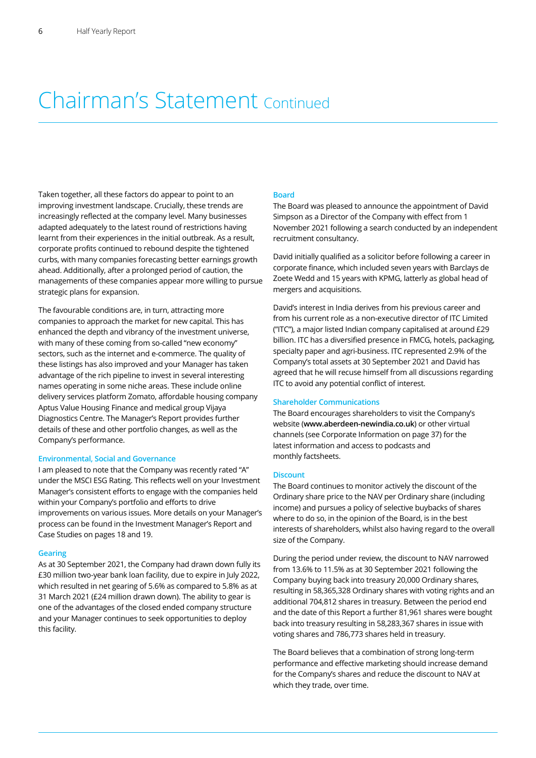## Chairman's Statement Continued

Taken together, all these factors do appear to point to an improving investment landscape. Crucially, these trends are increasingly reflected at the company level. Many businesses adapted adequately to the latest round of restrictions having learnt from their experiences in the initial outbreak. As a result, corporate profits continued to rebound despite the tightened curbs, with many companies forecasting better earnings growth ahead. Additionally, after a prolonged period of caution, the managements of these companies appear more willing to pursue strategic plans for expansion.

The favourable conditions are, in turn, attracting more companies to approach the market for new capital. This has enhanced the depth and vibrancy of the investment universe, with many of these coming from so-called "new economy" sectors, such as the internet and e-commerce. The quality of these listings has also improved and your Manager has taken advantage of the rich pipeline to invest in several interesting names operating in some niche areas. These include online delivery services platform Zomato, affordable housing company Aptus Value Housing Finance and medical group Vijaya Diagnostics Centre. The Manager's Report provides further details of these and other portfolio changes, as well as the Company's performance.

#### **Environmental, Social and Governance**

I am pleased to note that the Company was recently rated "A" under the MSCI ESG Rating. This reflects well on your Investment Manager's consistent efforts to engage with the companies held within your Company's portfolio and efforts to drive improvements on various issues. More details on your Manager's process can be found in the Investment Manager's Report and Case Studies on pages 18 and 19.

#### **Gearing**

As at 30 September 2021, the Company had drawn down fully its £30 million two-year bank loan facility, due to expire in July 2022, which resulted in net gearing of 5.6% as compared to 5.8% as at 31 March 2021 (£24 million drawn down). The ability to gear is one of the advantages of the closed ended company structure and your Manager continues to seek opportunities to deploy this facility.

#### **Board**

The Board was pleased to announce the appointment of David Simpson as a Director of the Company with effect from 1 November 2021 following a search conducted by an independent recruitment consultancy.

David initially qualified as a solicitor before following a career in corporate finance, which included seven years with Barclays de Zoete Wedd and 15 years with KPMG, latterly as global head of mergers and acquisitions.

David's interest in India derives from his previous career and from his current role as a non-executive director of ITC Limited ("ITC"), a major listed Indian company capitalised at around £29 billion. ITC has a diversified presence in FMCG, hotels, packaging, specialty paper and agri-business. ITC represented 2.9% of the Company's total assets at 30 September 2021 and David has agreed that he will recuse himself from all discussions regarding ITC to avoid any potential conflict of interest.

#### **Shareholder Communications**

The Board encourages shareholders to visit the Company's website (**www.aberdeen-newindia.co.uk**) or other virtual channels (see Corporate Information on page 37) for the latest information and access to podcasts and monthly factsheets.

#### **Discount**

The Board continues to monitor actively the discount of the Ordinary share price to the NAV per Ordinary share (including income) and pursues a policy of selective buybacks of shares where to do so, in the opinion of the Board, is in the best interests of shareholders, whilst also having regard to the overall size of the Company.

During the period under review, the discount to NAV narrowed from 13.6% to 11.5% as at 30 September 2021 following the Company buying back into treasury 20,000 Ordinary shares, resulting in 58,365,328 Ordinary shares with voting rights and an additional 704,812 shares in treasury. Between the period end and the date of this Report a further 81,961 shares were bought back into treasury resulting in 58,283,367 shares in issue with voting shares and 786,773 shares held in treasury.

The Board believes that a combination of strong long-term performance and effective marketing should increase demand for the Company's shares and reduce the discount to NAV at which they trade, over time.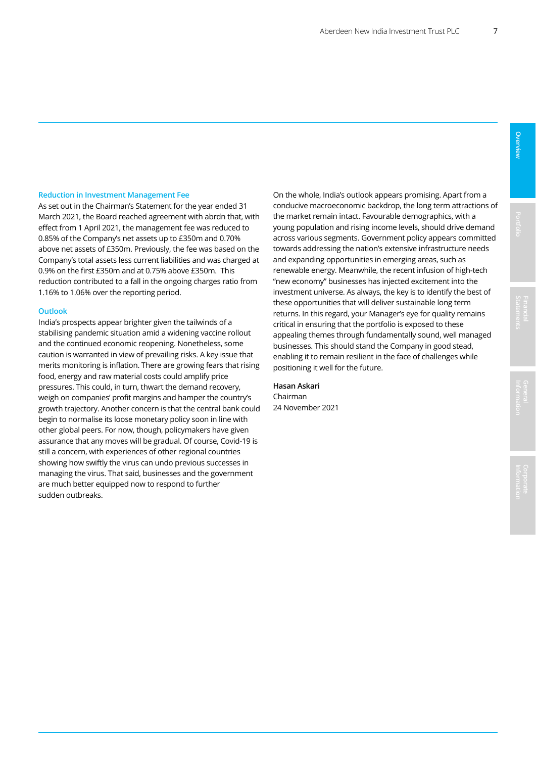#### **Reduction in Investment Management Fee**

As set out in the Chairman's Statement for the year ended 31 March 2021, the Board reached agreement with abrdn that, with effect from 1 April 2021, the management fee was reduced to 0.85% of the Company's net assets up to £350m and 0.70% above net assets of £350m. Previously, the fee was based on the Company's total assets less current liabilities and was charged at 0.9% on the first £350m and at 0.75% above £350m. This reduction contributed to a fall in the ongoing charges ratio from 1.16% to 1.06% over the reporting period.

#### **Outlook**

India's prospects appear brighter given the tailwinds of a stabilising pandemic situation amid a widening vaccine rollout and the continued economic reopening. Nonetheless, some caution is warranted in view of prevailing risks. A key issue that merits monitoring is inflation. There are growing fears that rising food, energy and raw material costs could amplify price pressures. This could, in turn, thwart the demand recovery, weigh on companies' profit margins and hamper the country's growth trajectory. Another concern is that the central bank could begin to normalise its loose monetary policy soon in line with other global peers. For now, though, policymakers have given assurance that any moves will be gradual. Of course, Covid-19 is still a concern, with experiences of other regional countries showing how swiftly the virus can undo previous successes in managing the virus. That said, businesses and the government are much better equipped now to respond to further sudden outbreaks.

On the whole, India's outlook appears promising. Apart from a conducive macroeconomic backdrop, the long term attractions of the market remain intact. Favourable demographics, with a young population and rising income levels, should drive demand across various segments. Government policy appears committed towards addressing the nation's extensive infrastructure needs and expanding opportunities in emerging areas, such as renewable energy. Meanwhile, the recent infusion of high-tech "new economy" businesses has injected excitement into the investment universe. As always, the key is to identify the best of these opportunities that will deliver sustainable long term returns. In this regard, your Manager's eye for quality remains critical in ensuring that the portfolio is exposed to these appealing themes through fundamentally sound, well managed businesses. This should stand the Company in good stead, enabling it to remain resilient in the face of challenges while positioning it well for the future.

#### **Hasan Askari**

Chairman 24 November 2021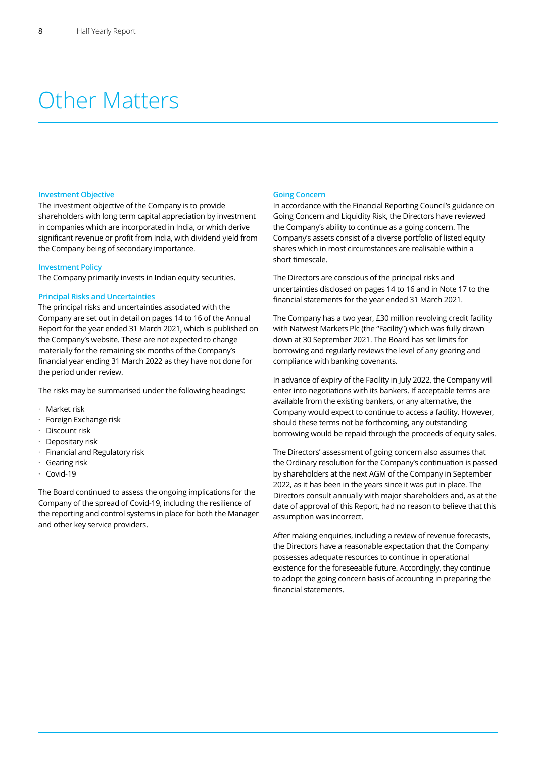## Other Matters

#### **Investment Objective**

The investment objective of the Company is to provide shareholders with long term capital appreciation by investment in companies which are incorporated in India, or which derive significant revenue or profit from India, with dividend yield from the Company being of secondary importance.

#### **Investment Policy**

The Company primarily invests in Indian equity securities.

#### **Principal Risks and Uncertainties**

The principal risks and uncertainties associated with the Company are set out in detail on pages 14 to 16 of the Annual Report for the year ended 31 March 2021, which is published on the Company's website. These are not expected to change materially for the remaining six months of the Company's financial year ending 31 March 2022 as they have not done for the period under review.

The risks may be summarised under the following headings:

- $·$  Market risk
- $\cdot$  Foreign Exchange risk
- **·** Discount risk
- $\cdot$  Depositary risk
- Financial and Regulatory risk
- Gearing risk
- Covid-19

The Board continued to assess the ongoing implications for the Company of the spread of Covid-19, including the resilience of the reporting and control systems in place for both the Manager and other key service providers.

#### **Going Concern**

In accordance with the Financial Reporting Council's guidance on Going Concern and Liquidity Risk, the Directors have reviewed the Company's ability to continue as a going concern. The Company's assets consist of a diverse portfolio of listed equity shares which in most circumstances are realisable within a short timescale.

The Directors are conscious of the principal risks and uncertainties disclosed on pages 14 to 16 and in Note 17 to the financial statements for the year ended 31 March 2021.

The Company has a two year, £30 million revolving credit facility with Natwest Markets Plc (the "Facility") which was fully drawn down at 30 September 2021. The Board has set limits for borrowing and regularly reviews the level of any gearing and compliance with banking covenants.

In advance of expiry of the Facility in July 2022, the Company will enter into negotiations with its bankers. If acceptable terms are available from the existing bankers, or any alternative, the Company would expect to continue to access a facility. However, should these terms not be forthcoming, any outstanding borrowing would be repaid through the proceeds of equity sales.

The Directors' assessment of going concern also assumes that the Ordinary resolution for the Company's continuation is passed by shareholders at the next AGM of the Company in September 2022, as it has been in the years since it was put in place. The Directors consult annually with major shareholders and, as at the date of approval of this Report, had no reason to believe that this assumption was incorrect.

After making enquiries, including a review of revenue forecasts, the Directors have a reasonable expectation that the Company possesses adequate resources to continue in operational existence for the foreseeable future. Accordingly, they continue to adopt the going concern basis of accounting in preparing the financial statements.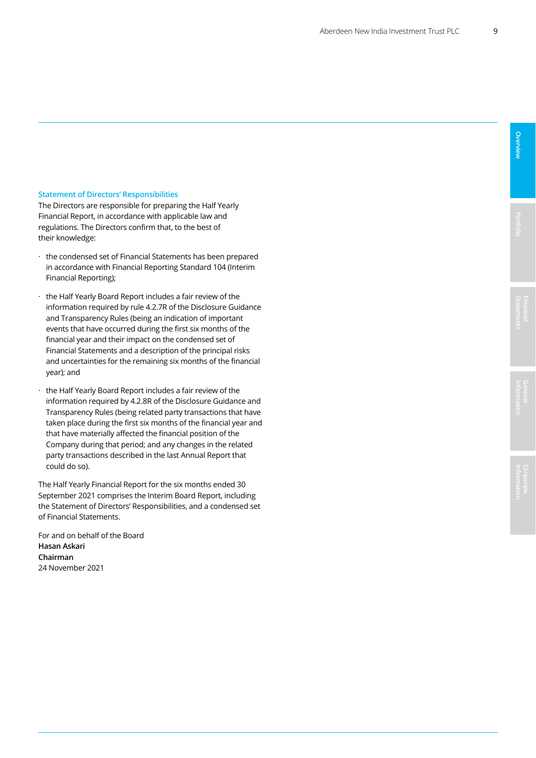#### **Statement of Directors' Responsibilities**

The Directors are responsible for preparing the Half Yearly Financial Report, in accordance with applicable law and regulations. The Directors confirm that, to the best of their knowledge:

- $\cdot$  the condensed set of Financial Statements has been prepared in accordance with Financial Reporting Standard 104 (Interim Financial Reporting);
- $\cdot$  the Half Yearly Board Report includes a fair review of the information required by rule 4.2.7R of the Disclosure Guidance and Transparency Rules (being an indication of important events that have occurred during the first six months of the financial year and their impact on the condensed set of Financial Statements and a description of the principal risks and uncertainties for the remaining six months of the financial year); and
- $\cdot$  the Half Yearly Board Report includes a fair review of the information required by 4.2.8R of the Disclosure Guidance and Transparency Rules (being related party transactions that have taken place during the first six months of the financial year and that have materially affected the financial position of the Company during that period; and any changes in the related party transactions described in the last Annual Report that could do so).

The Half Yearly Financial Report for the six months ended 30 September 2021 comprises the Interim Board Report, including the Statement of Directors' Responsibilities, and a condensed set of Financial Statements.

For and on behalf of the Board **Hasan Askari Chairman** 24 November 2021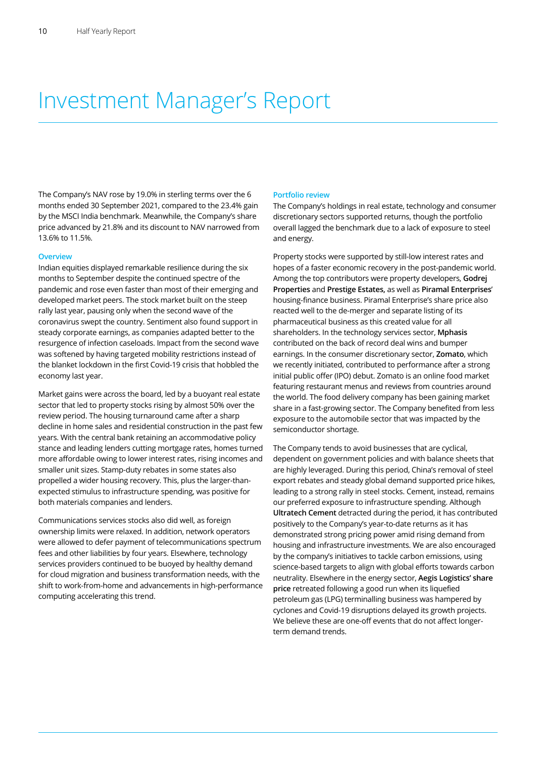## Investment Manager's Report

The Company's NAV rose by 19.0% in sterling terms over the 6 months ended 30 September 2021, compared to the 23.4% gain by the MSCI India benchmark. Meanwhile, the Company's share price advanced by 21.8% and its discount to NAV narrowed from 13.6% to 11.5%.

#### **Overview**

Indian equities displayed remarkable resilience during the six months to September despite the continued spectre of the pandemic and rose even faster than most of their emerging and developed market peers. The stock market built on the steep rally last year, pausing only when the second wave of the coronavirus swept the country. Sentiment also found support in steady corporate earnings, as companies adapted better to the resurgence of infection caseloads. Impact from the second wave was softened by having targeted mobility restrictions instead of the blanket lockdown in the first Covid-19 crisis that hobbled the economy last year.

Market gains were across the board, led by a buoyant real estate sector that led to property stocks rising by almost 50% over the review period. The housing turnaround came after a sharp decline in home sales and residential construction in the past few years. With the central bank retaining an accommodative policy stance and leading lenders cutting mortgage rates, homes turned more affordable owing to lower interest rates, rising incomes and smaller unit sizes. Stamp-duty rebates in some states also propelled a wider housing recovery. This, plus the larger-thanexpected stimulus to infrastructure spending, was positive for both materials companies and lenders.

Communications services stocks also did well, as foreign ownership limits were relaxed. In addition, network operators were allowed to defer payment of telecommunications spectrum fees and other liabilities by four years. Elsewhere, technology services providers continued to be buoyed by healthy demand for cloud migration and business transformation needs, with the shift to work-from-home and advancements in high-performance computing accelerating this trend.

#### **Portfolio review**

The Company's holdings in real estate, technology and consumer discretionary sectors supported returns, though the portfolio overall lagged the benchmark due to a lack of exposure to steel and energy.

Property stocks were supported by still-low interest rates and hopes of a faster economic recovery in the post-pandemic world. Among the top contributors were property developers, **Godrej Properties** and **Prestige Estates,** as well as **Piramal Enterprises**' housing-finance business. Piramal Enterprise's share price also reacted well to the de-merger and separate listing of its pharmaceutical business as this created value for all shareholders. In the technology services sector, **Mphasis** contributed on the back of record deal wins and bumper earnings. In the consumer discretionary sector, **Zomato**, which we recently initiated, contributed to performance after a strong initial public offer (IPO) debut. Zomato is an online food market featuring restaurant menus and reviews from countries around the world. The food delivery company has been gaining market share in a fast-growing sector. The Company benefited from less exposure to the automobile sector that was impacted by the semiconductor shortage.

The Company tends to avoid businesses that are cyclical, dependent on government policies and with balance sheets that are highly leveraged. During this period, China's removal of steel export rebates and steady global demand supported price hikes, leading to a strong rally in steel stocks. Cement, instead, remains our preferred exposure to infrastructure spending. Although **Ultratech Cement** detracted during the period, it has contributed positively to the Company's year-to-date returns as it has demonstrated strong pricing power amid rising demand from housing and infrastructure investments. We are also encouraged by the company's initiatives to tackle carbon emissions, using science-based targets to align with global efforts towards carbon neutrality. Elsewhere in the energy sector, **Aegis Logistics' share price** retreated following a good run when its liquefied petroleum gas (LPG) terminalling business was hampered by cyclones and Covid-19 disruptions delayed its growth projects. We believe these are one-off events that do not affect longerterm demand trends.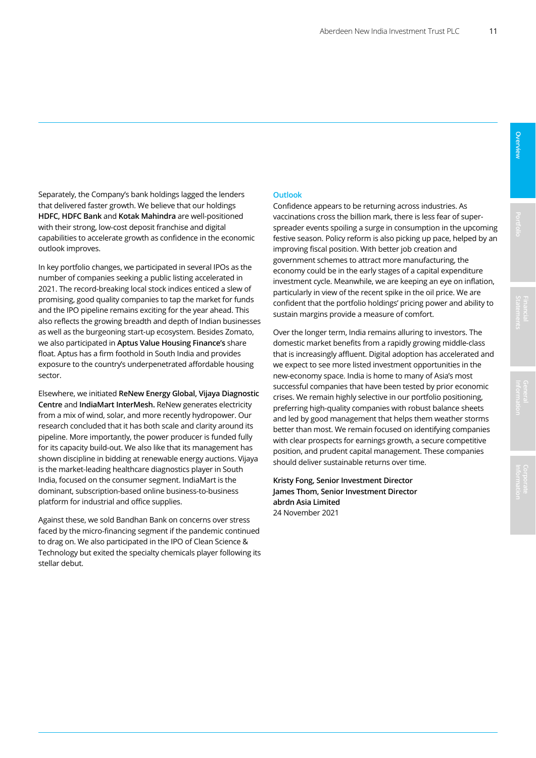**Overview Portfolio Statements Statements** 

Separately, the Company's bank holdings lagged the lenders that delivered faster growth. We believe that our holdings **HDFC, HDFC Bank** and **Kotak Mahindra** are well-positioned with their strong, low-cost deposit franchise and digital capabilities to accelerate growth as confidence in the economic outlook improves.

In key portfolio changes, we participated in several IPOs as the number of companies seeking a public listing accelerated in 2021. The record-breaking local stock indices enticed a slew of promising, good quality companies to tap the market for funds and the IPO pipeline remains exciting for the year ahead. This also reflects the growing breadth and depth of Indian businesses as well as the burgeoning start-up ecosystem. Besides Zomato, we also participated in **Aptus Value Housing Finance's** share float. Aptus has a firm foothold in South India and provides exposure to the country's underpenetrated affordable housing sector.

Elsewhere, we initiated **ReNew Energy Global, Vijaya Diagnostic Centre** and **IndiaMart InterMesh.** ReNew generates electricity from a mix of wind, solar, and more recently hydropower. Our research concluded that it has both scale and clarity around its pipeline. More importantly, the power producer is funded fully for its capacity build-out. We also like that its management has shown discipline in bidding at renewable energy auctions. Vijaya is the market-leading healthcare diagnostics player in South India, focused on the consumer segment. IndiaMart is the dominant, subscription-based online business-to-business platform for industrial and office supplies.

Against these, we sold Bandhan Bank on concerns over stress faced by the micro-financing segment if the pandemic continued to drag on. We also participated in the IPO of Clean Science & Technology but exited the specialty chemicals player following its stellar debut.

#### **Outlook**

Confidence appears to be returning across industries. As vaccinations cross the billion mark, there is less fear of superspreader events spoiling a surge in consumption in the upcoming festive season. Policy reform is also picking up pace, helped by an improving fiscal position. With better job creation and government schemes to attract more manufacturing, the economy could be in the early stages of a capital expenditure investment cycle. Meanwhile, we are keeping an eye on inflation, particularly in view of the recent spike in the oil price. We are confident that the portfolio holdings' pricing power and ability to sustain margins provide a measure of comfort.

Over the longer term, India remains alluring to investors. The domestic market benefits from a rapidly growing middle-class that is increasingly affluent. Digital adoption has accelerated and we expect to see more listed investment opportunities in the new-economy space. India is home to many of Asia's most successful companies that have been tested by prior economic crises. We remain highly selective in our portfolio positioning, preferring high-quality companies with robust balance sheets and led by good management that helps them weather storms better than most. We remain focused on identifying companies with clear prospects for earnings growth, a secure competitive position, and prudent capital management. These companies should deliver sustainable returns over time.

**Kristy Fong, Senior Investment Director James Thom, Senior Investment Director abrdn Asia Limited**  24 November 2021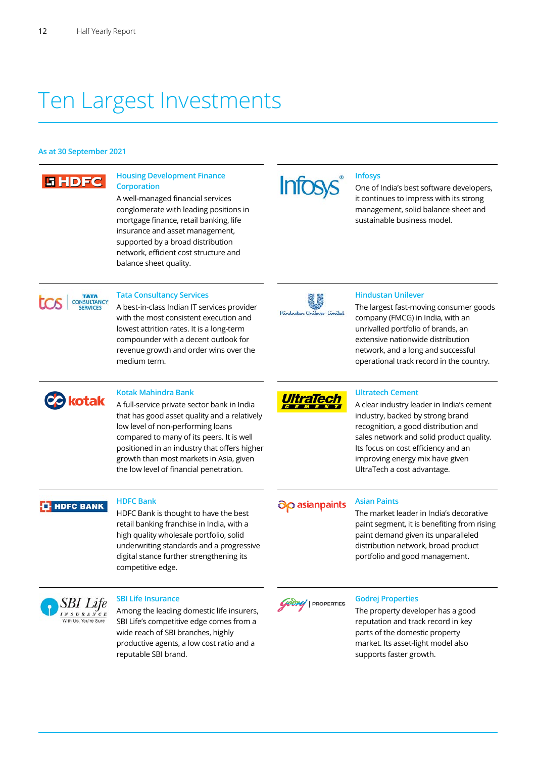## Ten Largest Investments

#### **As at 30 September 2021**



#### **Housing Development Finance Corporation**

A well-managed financial services conglomerate with leading positions in mortgage finance, retail banking, life insurance and asset management, supported by a broad distribution network, efficient cost structure and balance sheet quality.



#### **Tata Consultancy Services Hindustan Unilever**

A best-in-class Indian IT services provider with the most consistent execution and lowest attrition rates. It is a long-term compounder with a decent outlook for revenue growth and order wins over the medium term.



Kotak Mahindra Bank<br>A full-service private sector bank in India **Ultratech A** clear industry lea A full-service private sector bank in India that has good asset quality and a relatively low level of non-performing loans compared to many of its peers. It is well positioned in an industry that offers higher growth than most markets in Asia, given the low level of financial penetration.

## **THE HDFC BANK**

HDFC Bank is thought to have the best retail banking franchise in India, with a high quality wholesale portfolio, solid underwriting standards and a progressive digital stance further strengthening its competitive edge.



Among the leading domestic life insurers, SBI Life's competitive edge comes from a wide reach of SBI branches, highly productive agents, a low cost ratio and a reputable SBI brand.



**Infosys** 

### **Infosys**

One of India's best software developers, it continues to impress with its strong management, solid balance sheet and sustainable business model.



## unrivalled portfolio of brands, an

extensive nationwide distribution network, and a long and successful operational track record in the country.

company (FMCG) in India, with an



 A clear industry leader in India's cement industry, backed by strong brand recognition, a good distribution and sales network and solid product quality. Its focus on cost efficiency and an improving energy mix have given UltraTech a cost advantage.

## **HDFC Bank Asian Paints Asian Paints Asian Paints Asian Paints**

 The market leader in India's decorative paint segment, it is benefiting from rising paint demand given its unparalleled distribution network, broad product portfolio and good management.



 The property developer has a good reputation and track record in key parts of the domestic property market. Its asset-light model also supports faster growth.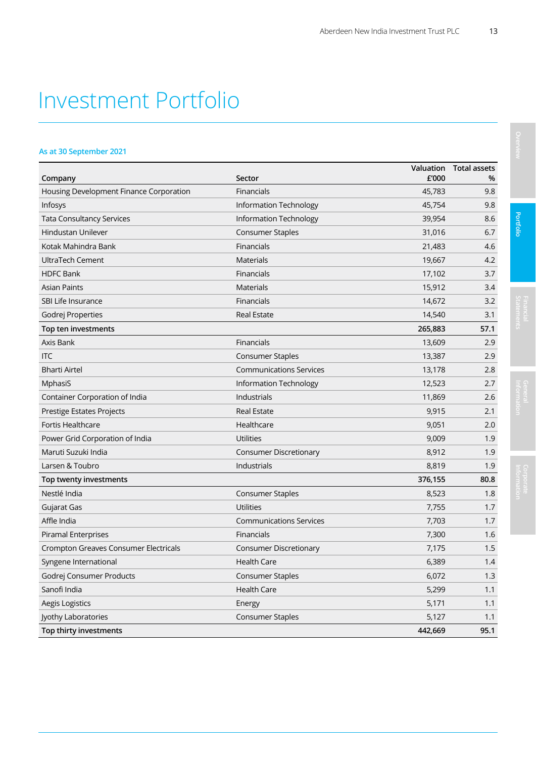## Investment Portfolio

#### **As at 30 September 2021**

| Company                                 | Sector                         | £'000   | Valuation Total assets<br>% |
|-----------------------------------------|--------------------------------|---------|-----------------------------|
| Housing Development Finance Corporation | Financials                     | 45,783  | 9.8                         |
| Infosys                                 | Information Technology         | 45,754  | 9.8                         |
| <b>Tata Consultancy Services</b>        | Information Technology         | 39,954  | 8.6                         |
| Hindustan Unilever                      | <b>Consumer Staples</b>        | 31,016  | 6.7                         |
| Kotak Mahindra Bank                     | Financials                     | 21,483  | 4.6                         |
| UltraTech Cement                        | <b>Materials</b>               | 19,667  | 4.2                         |
| <b>HDFC Bank</b>                        | Financials                     | 17,102  | 3.7                         |
| <b>Asian Paints</b>                     | <b>Materials</b>               | 15,912  | 3.4                         |
| SBI Life Insurance                      | Financials                     | 14,672  | 3.2                         |
| Godrej Properties                       | <b>Real Estate</b>             | 14,540  | 3.1                         |
| Top ten investments                     |                                | 265,883 | 57.1                        |
| Axis Bank                               | Financials                     | 13,609  | 2.9                         |
| <b>ITC</b>                              | <b>Consumer Staples</b>        | 13,387  | 2.9                         |
| <b>Bharti Airtel</b>                    | <b>Communications Services</b> | 13,178  | 2.8                         |
| MphasiS                                 | Information Technology         | 12,523  | 2.7                         |
| Container Corporation of India          | Industrials                    | 11,869  | 2.6                         |
| Prestige Estates Projects               | <b>Real Estate</b>             | 9,915   | 2.1                         |
| Fortis Healthcare                       | Healthcare                     | 9,051   | 2.0                         |
| Power Grid Corporation of India         | Utilities                      | 9,009   | 1.9                         |
| Maruti Suzuki India                     | <b>Consumer Discretionary</b>  | 8,912   | 1.9                         |
| Larsen & Toubro                         | Industrials                    | 8,819   | 1.9                         |
| Top twenty investments                  |                                | 376,155 | 80.8                        |
| Nestlé India                            | <b>Consumer Staples</b>        | 8,523   | 1.8                         |
| Gujarat Gas                             | <b>Utilities</b>               | 7,755   | 1.7                         |
| Affle India                             | <b>Communications Services</b> | 7,703   | 1.7                         |
| <b>Piramal Enterprises</b>              | <b>Financials</b>              | 7,300   | 1.6                         |
| Crompton Greaves Consumer Electricals   | <b>Consumer Discretionary</b>  | 7,175   | 1.5                         |
| Syngene International                   | <b>Health Care</b>             | 6,389   | 1.4                         |
| Godrej Consumer Products                | <b>Consumer Staples</b>        | 6,072   | 1.3                         |
| Sanofi India                            | <b>Health Care</b>             | 5,299   | 1.1                         |
| Aegis Logistics                         | Energy                         | 5,171   | 1.1                         |
| Jyothy Laboratories                     | <b>Consumer Staples</b>        | 5,127   | 1.1                         |
| Top thirty investments                  |                                | 442,669 | 95.1                        |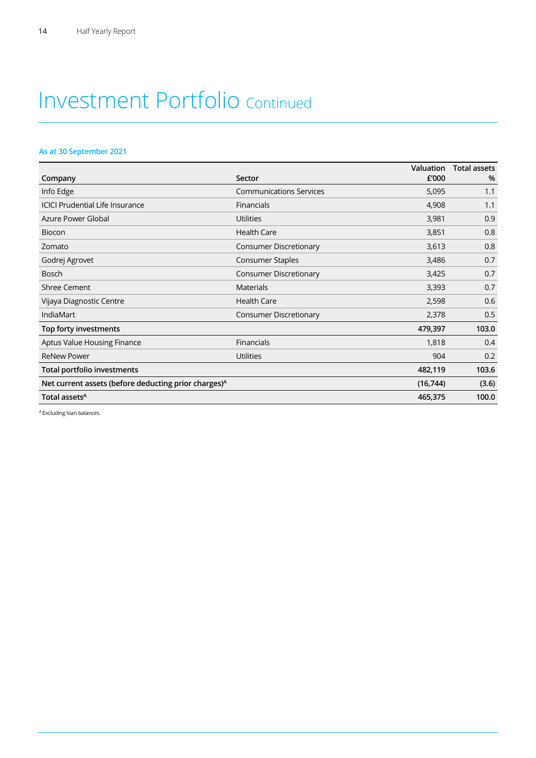## Investment Portfolio Continued

#### **As at 30 September 2021**

| Company                                                          | Sector                         | Valuation<br>£'000 | <b>Total assets</b><br>% |
|------------------------------------------------------------------|--------------------------------|--------------------|--------------------------|
| Info Edge                                                        | <b>Communications Services</b> | 5,095              | 1.1                      |
| <b>ICICI Prudential Life Insurance</b>                           | Financials                     | 4,908              | 1.1                      |
| Azure Power Global                                               | <b>Utilities</b>               | 3,981              | 0.9                      |
| Biocon                                                           | <b>Health Care</b>             | 3,851              | 0.8                      |
| Zomato                                                           | <b>Consumer Discretionary</b>  | 3,613              | 0.8                      |
| Godrej Agrovet                                                   | <b>Consumer Staples</b>        | 3,486              | 0.7                      |
| Bosch                                                            | Consumer Discretionary         | 3,425              | 0.7                      |
| <b>Shree Cement</b>                                              | <b>Materials</b>               | 3,393              | 0.7                      |
| Vijaya Diagnostic Centre                                         | <b>Health Care</b>             | 2,598              | 0.6                      |
| IndiaMart                                                        | Consumer Discretionary         | 2,378              | 0.5                      |
| Top forty investments                                            |                                | 479,397            | 103.0                    |
| Aptus Value Housing Finance                                      | Financials                     | 1,818              | 0.4                      |
| <b>ReNew Power</b>                                               | <b>Utilities</b>               | 904                | 0.2                      |
| Total portfolio investments                                      |                                | 482,119            | 103.6                    |
| Net current assets (before deducting prior charges) <sup>A</sup> |                                | (16, 744)          | (3.6)                    |
| Total assets <sup>A</sup>                                        |                                | 465,375            | 100.0                    |

A Excluding loan balances.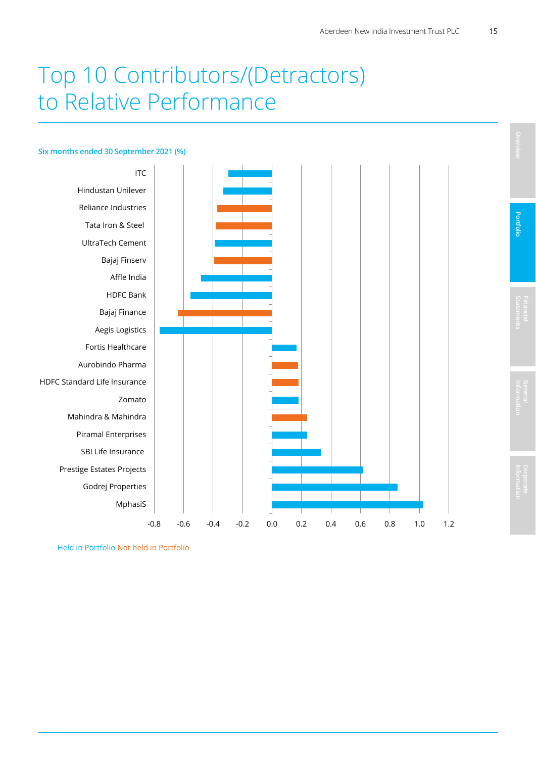## Top 10 Contributors/(Detractors) to Relative Performance

### **Six months ended 30 September 2021 (%)**



Held in Portfolio Not held in Portfolio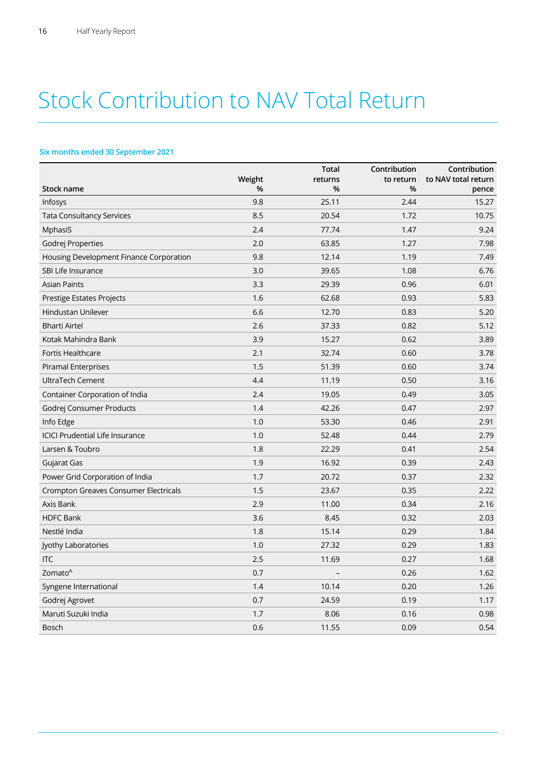# Stock Contribution to NAV Total Return

#### **Six months ended 30 September 2021**

|                                         |             | <b>Total</b> | Contribution   | Contribution                 |
|-----------------------------------------|-------------|--------------|----------------|------------------------------|
| Stock name                              | Weight<br>% | returns<br>% | to return<br>% | to NAV total return<br>pence |
| Infosys                                 | 9.8         | 25.11        | 2.44           | 15.27                        |
| <b>Tata Consultancy Services</b>        | 8.5         | 20.54        | 1.72           | 10.75                        |
| MphasiS                                 | 2.4         | 77.74        | 1.47           | 9.24                         |
| Godrej Properties                       | 2.0         | 63.85        | 1.27           | 7.98                         |
| Housing Development Finance Corporation | 9.8         | 12.14        | 1.19           | 7.49                         |
| SBI Life Insurance                      | 3.0         | 39.65        | 1.08           | 6.76                         |
| <b>Asian Paints</b>                     | 3.3         | 29.39        | 0.96           | 6.01                         |
| Prestige Estates Projects               | 1.6         | 62.68        | 0.93           | 5.83                         |
| Hindustan Unilever                      | 6.6         | 12.70        | 0.83           | 5.20                         |
| <b>Bharti Airtel</b>                    | 2.6         | 37.33        | 0.82           | 5.12                         |
| Kotak Mahindra Bank                     | 3.9         | 15.27        | 0.62           | 3.89                         |
| Fortis Healthcare                       | 2.1         | 32.74        | 0.60           | 3.78                         |
| Piramal Enterprises                     | 1.5         | 51.39        | 0.60           | 3.74                         |
| UltraTech Cement                        | 4.4         | 11.19        | 0.50           | 3.16                         |
| Container Corporation of India          | 2.4         | 19.05        | 0.49           | 3.05                         |
| Godrej Consumer Products                | 1.4         | 42.26        | 0.47           | 2.97                         |
| Info Edge                               | 1.0         | 53.30        | 0.46           | 2.91                         |
| <b>ICICI Prudential Life Insurance</b>  | 1.0         | 52.48        | 0.44           | 2.79                         |
| Larsen & Toubro                         | 1.8         | 22.29        | 0.41           | 2.54                         |
| Gujarat Gas                             | 1.9         | 16.92        | 0.39           | 2.43                         |
| Power Grid Corporation of India         | 1.7         | 20.72        | 0.37           | 2.32                         |
| Crompton Greaves Consumer Electricals   | 1.5         | 23.67        | 0.35           | 2.22                         |
| Axis Bank                               | 2.9         | 11.00        | 0.34           | 2.16                         |
| <b>HDFC Bank</b>                        | 3.6         | 8.45         | 0.32           | 2.03                         |
| Nestlé India                            | 1.8         | 15.14        | 0.29           | 1.84                         |
| Jyothy Laboratories                     | 1.0         | 27.32        | 0.29           | 1.83                         |
| <b>ITC</b>                              | 2.5         | 11.69        | 0.27           | 1.68                         |
| Zomato <sup>A</sup>                     | 0.7         |              | 0.26           | 1.62                         |
| Syngene International                   | 1.4         | 10.14        | 0.20           | 1.26                         |
| Godrej Agrovet                          | 0.7         | 24.59        | 0.19           | 1.17                         |
| Maruti Suzuki India                     | 1.7         | 8.06         | 0.16           | 0.98                         |
| <b>Bosch</b>                            | 0.6         | 11.55        | 0.09           | 0.54                         |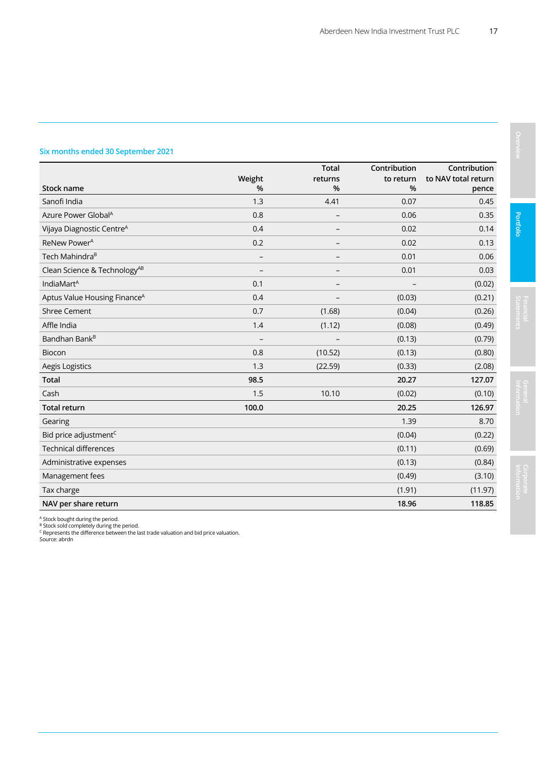#### **Six months ended 30 September 2021**

|                                          |             | <b>Total</b>             | Contribution   | Contribution                 |
|------------------------------------------|-------------|--------------------------|----------------|------------------------------|
| Stock name                               | Weight<br>% | returns<br>%             | to return<br>% | to NAV total return<br>pence |
| Sanofi India                             | 1.3         | 4.41                     | 0.07           | 0.45                         |
| Azure Power Global <sup>A</sup>          | 0.8         | $\overline{\phantom{0}}$ | 0.06           | 0.35                         |
| Vijaya Diagnostic Centre <sup>A</sup>    | 0.4         |                          | 0.02           | 0.14                         |
| ReNew Power <sup>A</sup>                 | 0.2         |                          | 0.02           | 0.13                         |
| Tech Mahindra <sup>B</sup>               |             |                          | 0.01           | 0.06                         |
| Clean Science & Technology <sup>AB</sup> |             |                          | 0.01           | 0.03                         |
| IndiaMart <sup>A</sup>                   | 0.1         |                          |                | (0.02)                       |
| Aptus Value Housing Finance <sup>A</sup> | 0.4         |                          | (0.03)         | (0.21)                       |
| <b>Shree Cement</b>                      | 0.7         | (1.68)                   | (0.04)         | (0.26)                       |
| Affle India                              | 1.4         | (1.12)                   | (0.08)         | (0.49)                       |
| Bandhan Bank <sup>B</sup>                |             |                          | (0.13)         | (0.79)                       |
| Biocon                                   | 0.8         | (10.52)                  | (0.13)         | (0.80)                       |
| Aegis Logistics                          | 1.3         | (22.59)                  | (0.33)         | (2.08)                       |
| <b>Total</b>                             | 98.5        |                          | 20.27          | 127.07                       |
| Cash                                     | 1.5         | 10.10                    | (0.02)         | (0.10)                       |
| <b>Total return</b>                      | 100.0       |                          | 20.25          | 126.97                       |
| Gearing                                  |             |                          | 1.39           | 8.70                         |
| Bid price adjustment <sup>c</sup>        |             |                          | (0.04)         | (0.22)                       |
| <b>Technical differences</b>             |             |                          | (0.11)         | (0.69)                       |
| Administrative expenses                  |             |                          | (0.13)         | (0.84)                       |
| Management fees                          |             |                          | (0.49)         | (3.10)                       |
| Tax charge                               |             |                          | (1.91)         | (11.97)                      |
| NAV per share return                     |             |                          | 18.96          | 118.85                       |

<sup>A</sup> Stock bought during the period.

<sup>8</sup> Stock sold completely during the period.<br><sup>C</sup> Represents the difference between the last trade valuation and bid price valuation.<br>Source: abrdn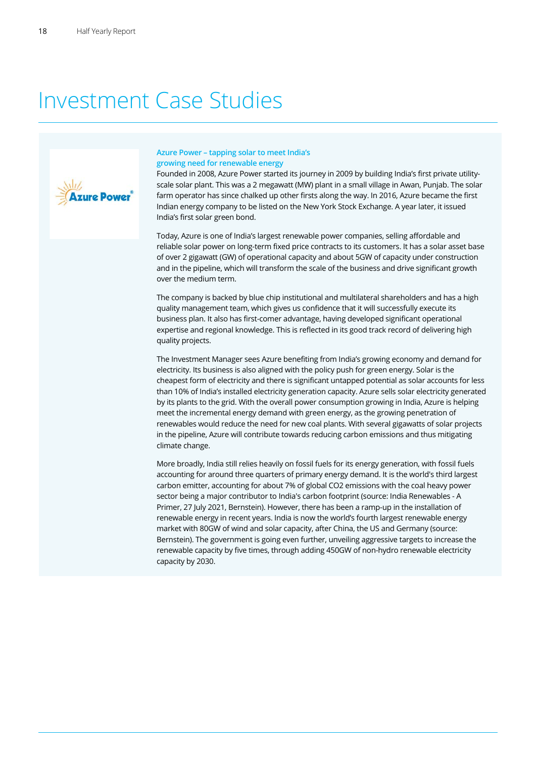## Investment Case Studies



#### **Azure Power – tapping solar to meet India's growing need for renewable energy**

Founded in 2008, Azure Power started its journey in 2009 by building India's first private utilityscale solar plant. This was a 2 megawatt (MW) plant in a small village in Awan, Punjab. The solar farm operator has since chalked up other firsts along the way. In 2016, Azure became the first Indian energy company to be listed on the New York Stock Exchange. A year later, it issued India's first solar green bond.

Today, Azure is one of India's largest renewable power companies, selling affordable and reliable solar power on long-term fixed price contracts to its customers. It has a solar asset base of over 2 gigawatt (GW) of operational capacity and about 5GW of capacity under construction and in the pipeline, which will transform the scale of the business and drive significant growth over the medium term.

The company is backed by blue chip institutional and multilateral shareholders and has a high quality management team, which gives us confidence that it will successfully execute its business plan. It also has first-comer advantage, having developed significant operational expertise and regional knowledge. This is reflected in its good track record of delivering high quality projects.

The Investment Manager sees Azure benefiting from India's growing economy and demand for electricity. Its business is also aligned with the policy push for green energy. Solar is the cheapest form of electricity and there is significant untapped potential as solar accounts for less than 10% of India's installed electricity generation capacity. Azure sells solar electricity generated by its plants to the grid. With the overall power consumption growing in India, Azure is helping meet the incremental energy demand with green energy, as the growing penetration of renewables would reduce the need for new coal plants. With several gigawatts of solar projects in the pipeline, Azure will contribute towards reducing carbon emissions and thus mitigating climate change.

More broadly, India still relies heavily on fossil fuels for its energy generation, with fossil fuels accounting for around three quarters of primary energy demand. It is the world's third largest carbon emitter, accounting for about 7% of global CO2 emissions with the coal heavy power sector being a major contributor to India's carbon footprint (source: India Renewables - A Primer, 27 July 2021, Bernstein). However, there has been a ramp-up in the installation of renewable energy in recent years. India is now the world's fourth largest renewable energy market with 80GW of wind and solar capacity, after China, the US and Germany (source: Bernstein). The government is going even further, unveiling aggressive targets to increase the renewable capacity by five times, through adding 450GW of non-hydro renewable electricity capacity by 2030.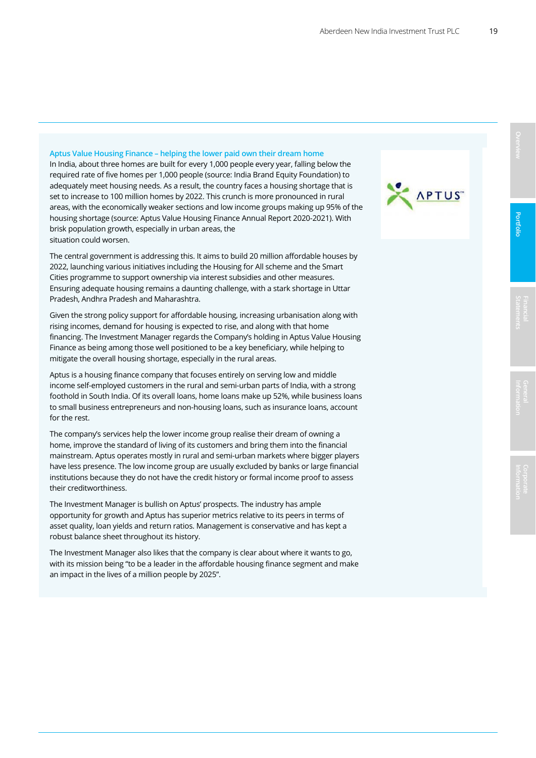#### **Aptus Value Housing Finance – helping the lower paid own their dream home**

In India, about three homes are built for every 1,000 people every year, falling below the required rate of five homes per 1,000 people (source: India Brand Equity Foundation) to adequately meet housing needs. As a result, the country faces a housing shortage that is set to increase to 100 million homes by 2022. This crunch is more pronounced in rural areas, with the economically weaker sections and low income groups making up 95% of the housing shortage (source: Aptus Value Housing Finance Annual Report 2020-2021). With brisk population growth, especially in urban areas, the situation could worsen.

The central government is addressing this. It aims to build 20 million affordable houses by 2022, launching various initiatives including the Housing for All scheme and the Smart Cities programme to support ownership via interest subsidies and other measures. Ensuring adequate housing remains a daunting challenge, with a stark shortage in Uttar Pradesh, Andhra Pradesh and Maharashtra.

Given the strong policy support for affordable housing, increasing urbanisation along with rising incomes, demand for housing is expected to rise, and along with that home financing. The Investment Manager regards the Company's holding in Aptus Value Housing Finance as being among those well positioned to be a key beneficiary, while helping to mitigate the overall housing shortage, especially in the rural areas.

Aptus is a housing finance company that focuses entirely on serving low and middle income self-employed customers in the rural and semi-urban parts of India, with a strong foothold in South India. Of its overall loans, home loans make up 52%, while business loans to small business entrepreneurs and non-housing loans, such as insurance loans, account for the rest.

The company's services help the lower income group realise their dream of owning a home, improve the standard of living of its customers and bring them into the financial mainstream. Aptus operates mostly in rural and semi-urban markets where bigger players have less presence. The low income group are usually excluded by banks or large financial institutions because they do not have the credit history or formal income proof to assess their creditworthiness.

The Investment Manager is bullish on Aptus' prospects. The industry has ample opportunity for growth and Aptus has superior metrics relative to its peers in terms of asset quality, loan yields and return ratios. Management is conservative and has kept a robust balance sheet throughout its history.

The Investment Manager also likes that the company is clear about where it wants to go, with its mission being "to be a leader in the affordable housing finance segment and make an impact in the lives of a million people by 2025".

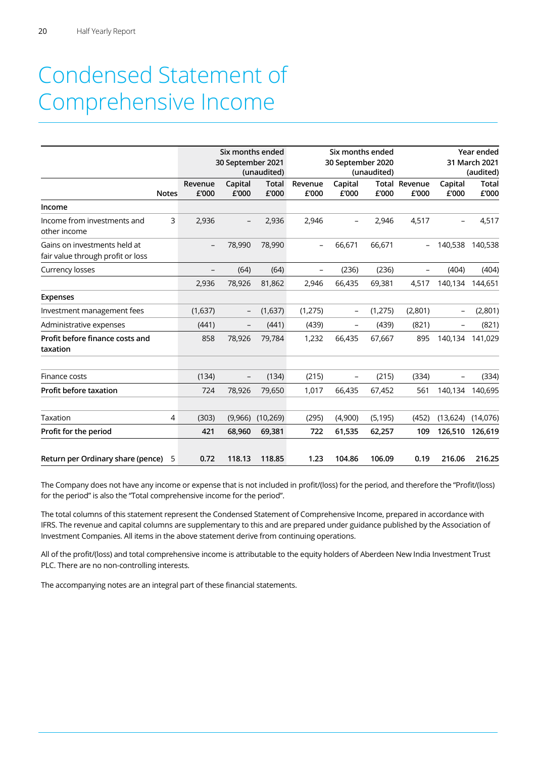## Condensed Statement of Comprehensive Income

|                                                                   |              |                   | Six months ended<br>Six months ended<br>30 September 2021<br>30 September 2020<br>(unaudited)<br>(unaudited) |                       | Year ended<br>31 March 2021<br>(audited) |                   |          |                               |                  |                       |
|-------------------------------------------------------------------|--------------|-------------------|--------------------------------------------------------------------------------------------------------------|-----------------------|------------------------------------------|-------------------|----------|-------------------------------|------------------|-----------------------|
|                                                                   | <b>Notes</b> | Revenue<br>£'000  | Capital<br>£'000                                                                                             | <b>Total</b><br>£'000 | Revenue<br>£'000                         | Capital<br>£'000  | £'000    | <b>Total Revenue</b><br>£'000 | Capital<br>£'000 | <b>Total</b><br>£'000 |
| Income                                                            |              |                   |                                                                                                              |                       |                                          |                   |          |                               |                  |                       |
| Income from investments and<br>other income                       | 3            | 2,936             |                                                                                                              | 2,936                 | 2,946                                    |                   | 2,946    | 4,517                         |                  | 4,517                 |
| Gains on investments held at<br>fair value through profit or loss |              | $\qquad \qquad -$ | 78,990                                                                                                       | 78,990                |                                          | 66,671            | 66,671   | $\overline{\phantom{a}}$      | 140,538          | 140,538               |
| Currency losses                                                   |              | -                 | (64)                                                                                                         | (64)                  | $\overline{\phantom{a}}$                 | (236)             | (236)    | $\overline{\phantom{0}}$      | (404)            | (404)                 |
|                                                                   |              | 2,936             | 78,926                                                                                                       | 81,862                | 2,946                                    | 66,435            | 69,381   | 4,517                         | 140,134          | 144,651               |
| <b>Expenses</b>                                                   |              |                   |                                                                                                              |                       |                                          |                   |          |                               |                  |                       |
| Investment management fees                                        |              | (1,637)           |                                                                                                              | (1,637)               | (1, 275)                                 |                   | (1, 275) | (2,801)                       |                  | (2,801)               |
| Administrative expenses                                           |              | (441)             |                                                                                                              | (441)                 | (439)                                    | $\qquad \qquad -$ | (439)    | (821)                         |                  | (821)                 |
| Profit before finance costs and<br>taxation                       |              | 858               | 78,926                                                                                                       | 79,784                | 1,232                                    | 66,435            | 67,667   | 895                           | 140,134          | 141,029               |
| Finance costs                                                     |              | (134)             |                                                                                                              | (134)                 | (215)                                    |                   | (215)    | (334)                         |                  | (334)                 |
| <b>Profit before taxation</b>                                     |              | 724               | 78,926                                                                                                       | 79,650                | 1,017                                    | 66,435            | 67,452   | 561                           | 140,134          | 140,695               |
| Taxation                                                          | 4            | (303)             | (9,966)                                                                                                      | (10, 269)             | (295)                                    | (4,900)           | (5, 195) | (452)                         | (13,624)         | (14,076)              |
| Profit for the period                                             |              | 421               | 68,960                                                                                                       | 69,381                | 722                                      | 61,535            | 62,257   | 109                           | 126,510          | 126,619               |
| Return per Ordinary share (pence)                                 | -5           | 0.72              | 118.13                                                                                                       | 118.85                | 1.23                                     | 104.86            | 106.09   | 0.19                          | 216.06           | 216.25                |

The Company does not have any income or expense that is not included in profit/(loss) for the period, and therefore the "Profit/(loss) for the period" is also the "Total comprehensive income for the period".

The total columns of this statement represent the Condensed Statement of Comprehensive Income, prepared in accordance with IFRS. The revenue and capital columns are supplementary to this and are prepared under guidance published by the Association of Investment Companies. All items in the above statement derive from continuing operations.

All of the profit/(loss) and total comprehensive income is attributable to the equity holders of Aberdeen New India Investment Trust PLC. There are no non-controlling interests.

The accompanying notes are an integral part of these financial statements.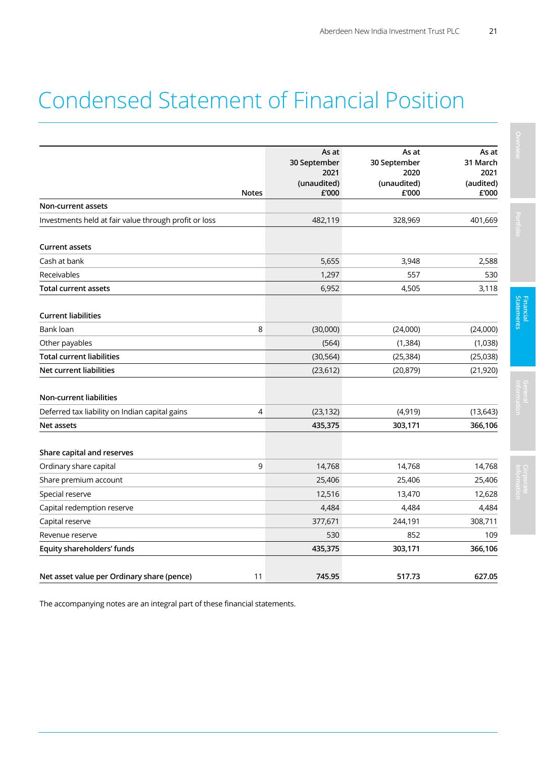## Condensed Statement of Financial Position

|                                                       | <b>Notes</b> | As at<br>30 September<br>2021<br>(unaudited)<br>£'000 | As at<br>30 September<br>2020<br>(unaudited)<br>£'000 | As at<br>31 March<br>2021<br>(audited)<br>£'000 |
|-------------------------------------------------------|--------------|-------------------------------------------------------|-------------------------------------------------------|-------------------------------------------------|
| Non-current assets                                    |              |                                                       |                                                       |                                                 |
| Investments held at fair value through profit or loss |              | 482,119                                               | 328,969                                               | 401,669                                         |
| <b>Current assets</b>                                 |              |                                                       |                                                       |                                                 |
| Cash at bank                                          |              | 5,655                                                 | 3,948                                                 | 2,588                                           |
| Receivables                                           |              | 1,297                                                 | 557                                                   | 530                                             |
| <b>Total current assets</b>                           |              | 6,952                                                 | 4,505                                                 | 3,118                                           |
| <b>Current liabilities</b>                            |              |                                                       |                                                       |                                                 |
| Bank loan                                             | 8            | (30,000)                                              | (24,000)                                              | (24,000)                                        |
| Other payables                                        |              | (564)                                                 | (1, 384)                                              | (1,038)                                         |
| <b>Total current liabilities</b>                      |              | (30, 564)                                             | (25, 384)                                             | (25,038)                                        |
| Net current liabilities                               |              | (23, 612)                                             | (20, 879)                                             | (21, 920)                                       |
| <b>Non-current liabilities</b>                        |              |                                                       |                                                       |                                                 |
| Deferred tax liability on Indian capital gains        | 4            | (23, 132)                                             | (4, 919)                                              | (13, 643)                                       |
| Net assets                                            |              | 435,375                                               | 303,171                                               | 366,106                                         |
| Share capital and reserves                            |              |                                                       |                                                       |                                                 |
| Ordinary share capital                                | 9            | 14,768                                                | 14,768                                                | 14,768                                          |
| Share premium account                                 |              | 25,406                                                | 25,406                                                | 25,406                                          |
| Special reserve                                       |              | 12,516                                                | 13,470                                                | 12,628                                          |
| Capital redemption reserve                            |              | 4,484                                                 | 4,484                                                 | 4,484                                           |
| Capital reserve                                       |              | 377,671                                               | 244,191                                               | 308,711                                         |
| Revenue reserve                                       |              | 530                                                   | 852                                                   | 109                                             |
| Equity shareholders' funds                            |              | 435,375                                               | 303,171                                               | 366,106                                         |
| Net asset value per Ordinary share (pence)            | 11           | 745.95                                                | 517.73                                                | 627.05                                          |

The accompanying notes are an integral part of these financial statements.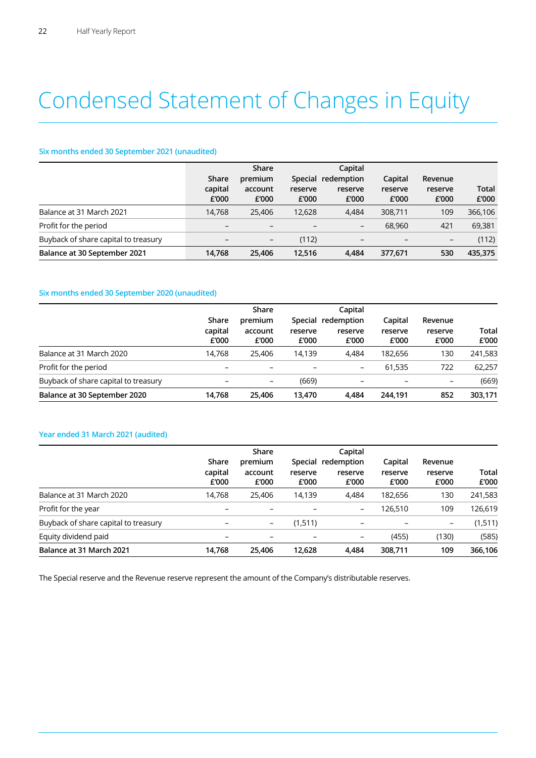# Condensed Statement of Changes in Equity

#### **Six months ended 30 September 2021 (unaudited)**

|                                      | Share<br>capital<br>£'000 | Share<br>premium<br>account<br>£'000 | reserve<br>£'000 | Capital<br>Special redemption<br>reserve<br>£'000 | Capital<br>reserve<br>£'000 | Revenue<br>reserve<br>£'000 | Total<br>£'000 |
|--------------------------------------|---------------------------|--------------------------------------|------------------|---------------------------------------------------|-----------------------------|-----------------------------|----------------|
| Balance at 31 March 2021             | 14,768                    | 25,406                               | 12,628           | 4,484                                             | 308,711                     | 109                         | 366,106        |
| Profit for the period                | -                         |                                      |                  | -                                                 | 68,960                      | 421                         | 69,381         |
| Buyback of share capital to treasury | $\overline{\phantom{0}}$  | -                                    | (112)            | $\qquad \qquad -$                                 |                             | -                           | (112)          |
| Balance at 30 September 2021         | 14,768                    | 25,406                               | 12,516           | 4,484                                             | 377,671                     | 530                         | 435,375        |

#### **Six months ended 30 September 2020 (unaudited)**

|                                      | Share<br>capital<br>£'000 | Share<br>premium<br>account<br>£'000 | reserve<br>£'000 | Capital<br>Special redemption<br>reserve<br>£'000 | Capital<br>reserve<br>£'000 | Revenue<br>reserve<br>£'000 | Total<br>£'000 |
|--------------------------------------|---------------------------|--------------------------------------|------------------|---------------------------------------------------|-----------------------------|-----------------------------|----------------|
| Balance at 31 March 2020             | 14.768                    | 25,406                               | 14.139           | 4.484                                             | 182,656                     | 130                         | 241,583        |
| Profit for the period                | -                         |                                      |                  | $\overline{\phantom{m}}$                          | 61.535                      | 722                         | 62,257         |
| Buyback of share capital to treasury | $\overline{\phantom{0}}$  | -                                    | (669)            | $\overline{\phantom{0}}$                          |                             |                             | (669)          |
| Balance at 30 September 2020         | 14,768                    | 25.406                               | 13,470           | 4,484                                             | 244.191                     | 852                         | 303,171        |

#### **Year ended 31 March 2021 (audited)**

|                                      |                          | Share            |                  | Capital                  |                  |                  |                |
|--------------------------------------|--------------------------|------------------|------------------|--------------------------|------------------|------------------|----------------|
|                                      | Share                    | premium          |                  | Special redemption       | Capital          | Revenue          |                |
|                                      | capital<br>£'000         | account<br>£'000 | reserve<br>£'000 | reserve<br>£'000         | reserve<br>£'000 | reserve<br>£'000 | Total<br>£'000 |
| Balance at 31 March 2020             | 14,768                   | 25,406           | 14,139           | 4,484                    | 182,656          | 130              | 241,583        |
| Profit for the year                  |                          |                  |                  | $\overline{\phantom{m}}$ | 126,510          | 109              | 126,619        |
| Buyback of share capital to treasury |                          | $\qquad \qquad$  | (1,511)          |                          |                  |                  | (1, 511)       |
| Equity dividend paid                 | $\overline{\phantom{a}}$ |                  |                  | $\overline{\phantom{m}}$ | (455)            | (130)            | (585)          |
| Balance at 31 March 2021             | 14,768                   | 25.406           | 12,628           | 4,484                    | 308,711          | 109              | 366,106        |

The Special reserve and the Revenue reserve represent the amount of the Company's distributable reserves.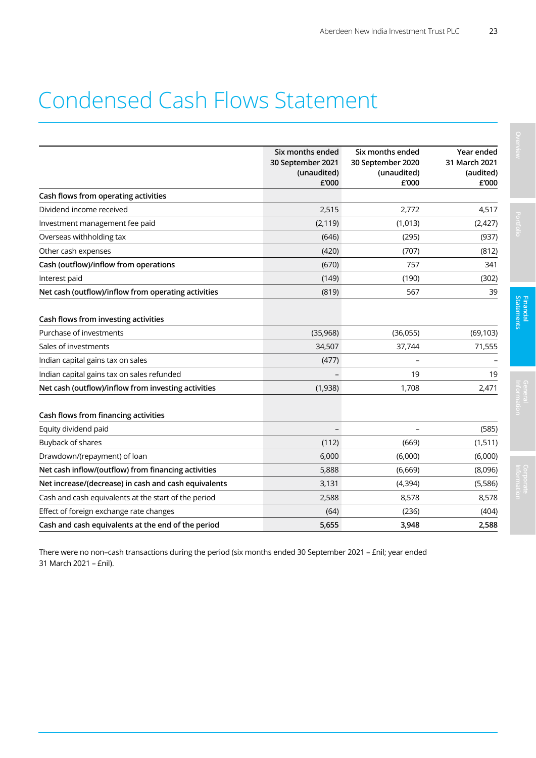## Condensed Cash Flows Statement

|                                                      | Six months ended<br>30 September 2021<br>(unaudited)<br>£'000 | Six months ended<br>30 September 2020<br>(unaudited)<br>£'000 | Year ended<br>31 March 2021<br>(audited)<br>£'000 |
|------------------------------------------------------|---------------------------------------------------------------|---------------------------------------------------------------|---------------------------------------------------|
| Cash flows from operating activities                 |                                                               |                                                               |                                                   |
| Dividend income received                             | 2,515                                                         | 2,772                                                         | 4,517                                             |
| Investment management fee paid                       | (2, 119)                                                      | (1,013)                                                       | (2,427)                                           |
| Overseas withholding tax                             | (646)                                                         | (295)                                                         | (937)                                             |
| Other cash expenses                                  | (420)                                                         | (707)                                                         | (812)                                             |
| Cash (outflow)/inflow from operations                | (670)                                                         | 757                                                           | 341                                               |
| Interest paid                                        | (149)                                                         | (190)                                                         | (302)                                             |
| Net cash (outflow)/inflow from operating activities  | (819)                                                         | 567                                                           | 39                                                |
| Cash flows from investing activities                 |                                                               |                                                               |                                                   |
| Purchase of investments                              | (35, 968)                                                     | (36,055)                                                      | (69, 103)                                         |
| Sales of investments                                 | 34,507                                                        | 37,744                                                        | 71,555                                            |
| Indian capital gains tax on sales                    | (477)                                                         |                                                               |                                                   |
| Indian capital gains tax on sales refunded           |                                                               | 19                                                            | 19                                                |
| Net cash (outflow)/inflow from investing activities  | (1,938)                                                       | 1,708                                                         | 2,471                                             |
| Cash flows from financing activities                 |                                                               |                                                               |                                                   |
| Equity dividend paid                                 |                                                               |                                                               | (585)                                             |
| Buyback of shares                                    | (112)                                                         | (669)                                                         | (1,511)                                           |
| Drawdown/(repayment) of loan                         | 6,000                                                         | (6,000)                                                       | (6,000)                                           |
| Net cash inflow/(outflow) from financing activities  | 5,888                                                         | (6,669)                                                       | (8,096)                                           |
| Net increase/(decrease) in cash and cash equivalents | 3,131                                                         | (4, 394)                                                      | (5,586)                                           |
| Cash and cash equivalents at the start of the period | 2,588                                                         | 8,578                                                         | 8,578                                             |
| Effect of foreign exchange rate changes              | (64)                                                          | (236)                                                         | (404)                                             |
| Cash and cash equivalents at the end of the period   | 5,655                                                         | 3,948                                                         | 2,588                                             |

There were no non–cash transactions during the period (six months ended 30 September 2021 – £nil; year ended 31 March 2021 – £nil).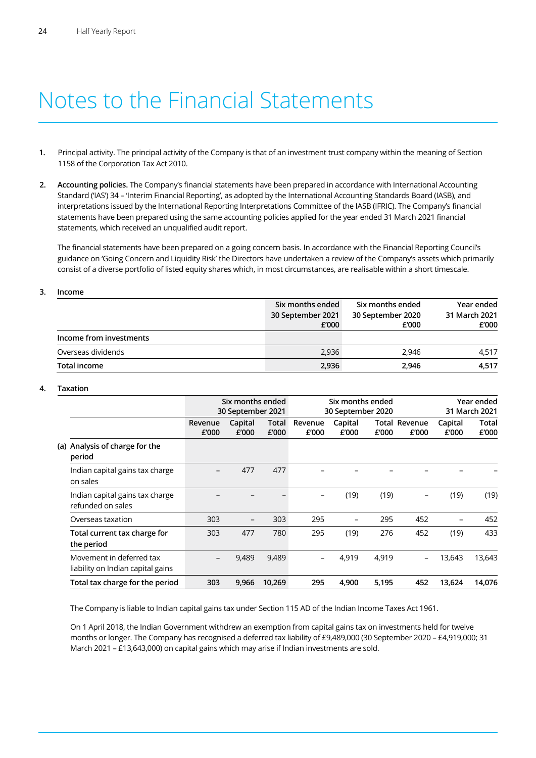## Notes to the Financial Statements

- **1.** Principal activity. The principal activity of the Company is that of an investment trust company within the meaning of Section 1158 of the Corporation Tax Act 2010.
- **2. Accounting policies.** The Company's financial statements have been prepared in accordance with International Accounting Standard ('IAS') 34 – 'Interim Financial Reporting', as adopted by the International Accounting Standards Board (IASB), and interpretations issued by the International Reporting Interpretations Committee of the IASB (IFRIC). The Company's financial statements have been prepared using the same accounting policies applied for the year ended 31 March 2021 financial statements, which received an unqualified audit report.

The financial statements have been prepared on a going concern basis. In accordance with the Financial Reporting Council's guidance on 'Going Concern and Liquidity Risk' the Directors have undertaken a review of the Company's assets which primarily consist of a diverse portfolio of listed equity shares which, in most circumstances, are realisable within a short timescale.

#### **3. Income**

|                         | Six months ended  | Six months ended  | Year ended    |
|-------------------------|-------------------|-------------------|---------------|
|                         | 30 September 2021 | 30 September 2020 | 31 March 2021 |
|                         | £'000             | £'000             | £'000         |
| Income from investments |                   |                   |               |
| Overseas dividends      | 2.936             | 2.946             | 4.517         |
| <b>Total income</b>     | 2,936             | 2,946             | 4,517         |

#### **4. Taxation**

|     |                                                               |                  | Six months ended<br>30 September 2021 |                |                  | Six months ended<br>30 September 2020 |       |                               |                          | Year ended<br>31 March 2021 |
|-----|---------------------------------------------------------------|------------------|---------------------------------------|----------------|------------------|---------------------------------------|-------|-------------------------------|--------------------------|-----------------------------|
|     |                                                               | Revenue<br>£'000 | Capital<br>£'000                      | Total<br>£'000 | Revenue<br>£'000 | Capital<br>£'000                      | £'000 | <b>Total Revenue</b><br>£'000 | Capital<br>£'000         | Total<br>£'000              |
| (a) | Analysis of charge for the<br>period                          |                  |                                       |                |                  |                                       |       |                               |                          |                             |
|     | Indian capital gains tax charge<br>on sales                   |                  | 477                                   | 477            |                  |                                       |       |                               |                          |                             |
|     | Indian capital gains tax charge<br>refunded on sales          |                  |                                       |                | -                | (19)                                  | (19)  |                               | (19)                     | (19)                        |
|     | Overseas taxation                                             | 303              | $\qquad \qquad -$                     | 303            | 295              | $\overline{\phantom{0}}$              | 295   | 452                           | $\overline{\phantom{0}}$ | 452                         |
|     | Total current tax charge for<br>the period                    | 303              | 477                                   | 780            | 295              | (19)                                  | 276   | 452                           | (19)                     | 433                         |
|     | Movement in deferred tax<br>liability on Indian capital gains |                  | 9,489                                 | 9,489          | -                | 4,919                                 | 4,919 | -                             | 13,643                   | 13,643                      |
|     | Total tax charge for the period                               | 303              | 9,966                                 | 10.269         | 295              | 4,900                                 | 5,195 | 452                           | 13,624                   | 14,076                      |

The Company is liable to Indian capital gains tax under Section 115 AD of the Indian Income Taxes Act 1961.

On 1 April 2018, the Indian Government withdrew an exemption from capital gains tax on investments held for twelve months or longer. The Company has recognised a deferred tax liability of £9,489,000 (30 September 2020 – £4,919,000; 31 March 2021 – £13,643,000) on capital gains which may arise if Indian investments are sold.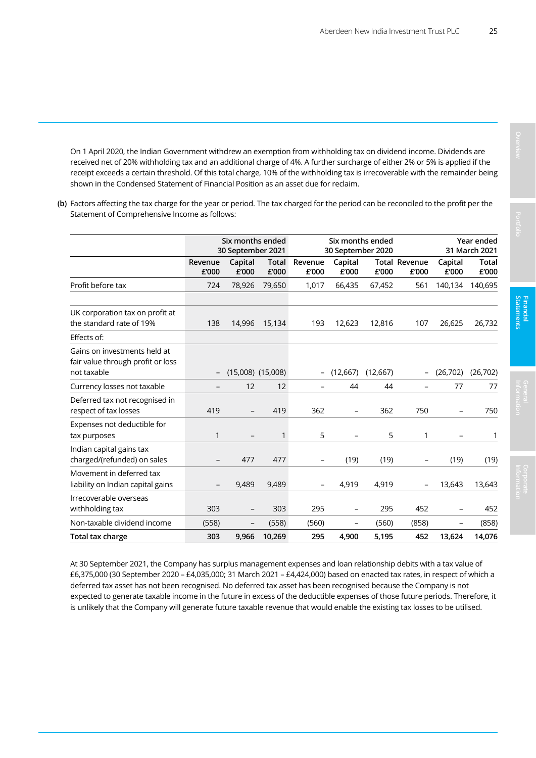On 1 April 2020, the Indian Government withdrew an exemption from withholding tax on dividend income. Dividends are received net of 20% withholding tax and an additional charge of 4%. A further surcharge of either 2% or 5% is applied if the receipt exceeds a certain threshold. Of this total charge, 10% of the withholding tax is irrecoverable with the remainder being shown in the Condensed Statement of Financial Position as an asset due for reclaim.

 **(b)** Factors affecting the tax charge for the year or period. The tax charged for the period can be reconciled to the profit per the Statement of Comprehensive Income as follows:

|                                                                                  | Six months ended<br>30 September 2021 |                       |                       |                          | Six months ended<br>30 September 2020 |          |                               |                          |                       |  | Year ended<br>31 March 2021 |  |
|----------------------------------------------------------------------------------|---------------------------------------|-----------------------|-----------------------|--------------------------|---------------------------------------|----------|-------------------------------|--------------------------|-----------------------|--|-----------------------------|--|
|                                                                                  | Revenue<br>£'000                      | Capital<br>£'000      | <b>Total</b><br>£'000 | Revenue<br>£'000         | Capital<br>£'000                      | £'000    | <b>Total Revenue</b><br>£'000 | Capital<br>£'000         | <b>Total</b><br>£'000 |  |                             |  |
| Profit before tax                                                                | 724                                   | 78,926                | 79,650                | 1,017                    | 66,435                                | 67,452   | 561                           | 140,134                  | 140,695               |  |                             |  |
| UK corporation tax on profit at<br>the standard rate of 19%                      | 138                                   | 14,996                | 15,134                | 193                      | 12,623                                | 12,816   | 107                           | 26,625                   | 26,732                |  |                             |  |
| Effects of:                                                                      |                                       |                       |                       |                          |                                       |          |                               |                          |                       |  |                             |  |
| Gains on investments held at<br>fair value through profit or loss<br>not taxable |                                       | $(15,008)$ $(15,008)$ |                       |                          | (12,667)                              | (12,667) | -                             | (26, 702)                | (26, 702)             |  |                             |  |
| Currency losses not taxable                                                      |                                       | 12                    | 12                    |                          | 44                                    | 44       | $\qquad \qquad -$             | 77                       | 77                    |  |                             |  |
| Deferred tax not recognised in<br>respect of tax losses                          | 419                                   | $\qquad \qquad -$     | 419                   | 362                      |                                       | 362      | 750                           |                          | 750                   |  |                             |  |
| Expenses not deductible for<br>tax purposes                                      | 1                                     |                       | $\mathbf{1}$          | 5                        |                                       | 5        | 1                             |                          | 1                     |  |                             |  |
| Indian capital gains tax<br>charged/(refunded) on sales                          |                                       | 477                   | 477                   | $\overline{\phantom{a}}$ | (19)                                  | (19)     |                               | (19)                     | (19)                  |  |                             |  |
| Movement in deferred tax<br>liability on Indian capital gains                    |                                       | 9,489                 | 9,489                 |                          | 4,919                                 | 4,919    | $\qquad \qquad -$             | 13,643                   | 13,643                |  |                             |  |
| Irrecoverable overseas<br>withholding tax                                        | 303                                   | $\qquad \qquad -$     | 303                   | 295                      |                                       | 295      | 452                           | $\overline{\phantom{0}}$ | 452                   |  |                             |  |
| Non-taxable dividend income                                                      | (558)                                 | -                     | (558)                 | (560)                    | $\overline{\phantom{m}}$              | (560)    | (858)                         | $\overline{\phantom{a}}$ | (858)                 |  |                             |  |
| Total tax charge                                                                 | 303                                   | 9,966                 | 10,269                | 295                      | 4,900                                 | 5,195    | 452                           | 13,624                   | 14,076                |  |                             |  |

 At 30 September 2021, the Company has surplus management expenses and loan relationship debits with a tax value of £6,375,000 (30 September 2020 – £4,035,000; 31 March 2021 – £4,424,000) based on enacted tax rates, in respect of which a deferred tax asset has not been recognised. No deferred tax asset has been recognised because the Company is not expected to generate taxable income in the future in excess of the deductible expenses of those future periods. Therefore, it is unlikely that the Company will generate future taxable revenue that would enable the existing tax losses to be utilised.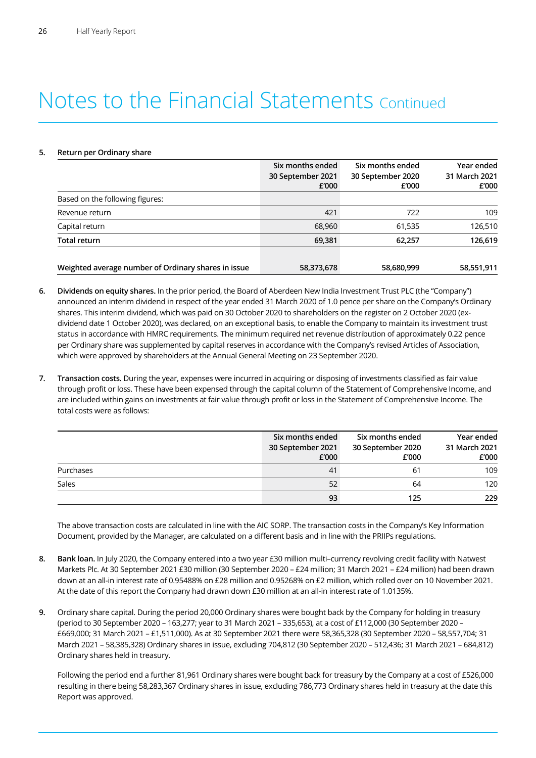## Notes to the Financial Statements Continued

#### **5. Return per Ordinary share**

|                                                     | Six months ended<br>30 September 2021<br>£'000 | Six months ended<br>30 September 2020<br>£'000 | Year ended<br>31 March 2021<br>£'000 |
|-----------------------------------------------------|------------------------------------------------|------------------------------------------------|--------------------------------------|
| Based on the following figures:                     |                                                |                                                |                                      |
| Revenue return                                      | 421                                            | 722                                            | 109                                  |
| Capital return                                      | 68,960                                         | 61,535                                         | 126,510                              |
| <b>Total return</b>                                 | 69,381                                         | 62,257                                         | 126,619                              |
| Weighted average number of Ordinary shares in issue | 58,373,678                                     | 58,680,999                                     | 58,551,911                           |

- **6. Dividends on equity shares.** In the prior period, the Board of Aberdeen New India Investment Trust PLC (the "Company") announced an interim dividend in respect of the year ended 31 March 2020 of 1.0 pence per share on the Company's Ordinary shares. This interim dividend, which was paid on 30 October 2020 to shareholders on the register on 2 October 2020 (exdividend date 1 October 2020), was declared, on an exceptional basis, to enable the Company to maintain its investment trust status in accordance with HMRC requirements. The minimum required net revenue distribution of approximately 0.22 pence per Ordinary share was supplemented by capital reserves in accordance with the Company's revised Articles of Association, which were approved by shareholders at the Annual General Meeting on 23 September 2020.
- **7. Transaction costs.** During the year, expenses were incurred in acquiring or disposing of investments classified as fair value through profit or loss. These have been expensed through the capital column of the Statement of Comprehensive Income, and are included within gains on investments at fair value through profit or loss in the Statement of Comprehensive Income. The total costs were as follows:

|              | Six months ended<br>30 September 2021<br>£'000 | Six months ended<br>30 September 2020<br>£'000 | Year ended<br>31 March 2021<br>£'000 |
|--------------|------------------------------------------------|------------------------------------------------|--------------------------------------|
| Purchases    | 41                                             | 61                                             | 109                                  |
| <b>Sales</b> | 52                                             | 64                                             | 120                                  |
|              | 93                                             | 125                                            | 229                                  |

 The above transaction costs are calculated in line with the AIC SORP. The transaction costs in the Company's Key Information Document, provided by the Manager, are calculated on a different basis and in line with the PRIIPs regulations.

- **8. Bank loan.** In July 2020, the Company entered into a two year £30 million multi–currency revolving credit facility with Natwest Markets Plc. At 30 September 2021 £30 million (30 September 2020 – £24 million; 31 March 2021 – £24 million) had been drawn down at an all-in interest rate of 0.95488% on £28 million and 0.95268% on £2 million, which rolled over on 10 November 2021. At the date of this report the Company had drawn down £30 million at an all-in interest rate of 1.0135%.
- **9.** Ordinary share capital. During the period 20,000 Ordinary shares were bought back by the Company for holding in treasury (period to 30 September 2020 – 163,277; year to 31 March 2021 – 335,653), at a cost of £112,000 (30 September 2020 – £669,000; 31 March 2021 – £1,511,000). As at 30 September 2021 there were 58,365,328 (30 September 2020 – 58,557,704; 31 March 2021 – 58,385,328) Ordinary shares in issue, excluding 704,812 (30 September 2020 – 512,436; 31 March 2021 – 684,812) Ordinary shares held in treasury.

Following the period end a further 81,961 Ordinary shares were bought back for treasury by the Company at a cost of £526,000 resulting in there being 58,283,367 Ordinary shares in issue, excluding 786,773 Ordinary shares held in treasury at the date this Report was approved.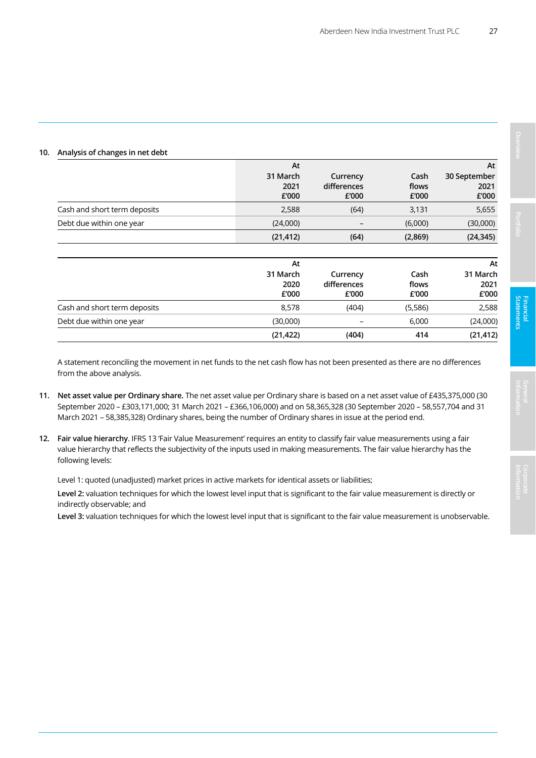#### **10. Analysis of changes in net debt**

|                              | At            |                      |                | At            |
|------------------------------|---------------|----------------------|----------------|---------------|
|                              | 31 March      | Currency             | Cash           | 30 September  |
|                              | 2021<br>£'000 | differences<br>£'000 | flows<br>£'000 | 2021<br>£'000 |
|                              |               |                      |                |               |
| Cash and short term deposits | 2,588         | (64)                 | 3,131          | 5,655         |
| Debt due within one year     | (24,000)      | $\qquad \qquad$      | (6,000)        | (30,000)      |
|                              | (21, 412)     | (64)                 | (2,869)        | (24, 345)     |
|                              | At            |                      |                | At            |
|                              | 31 March      | Currency             | Cash           | 31 March      |
|                              | 2020          | differences          | flows          | 2021          |
|                              | £'000         | £'000                | £'000          | £'000         |
| Cash and short term deposits | 8,578         | (404)                | (5,586)        | 2,588         |
| Debt due within one year     | (30,000)      |                      | 6,000          | (24,000)      |
|                              | (21, 422)     | (404)                | 414            | (21, 412)     |

 A statement reconciling the movement in net funds to the net cash flow has not been presented as there are no differences from the above analysis.

- **11. Net asset value per Ordinary share.** The net asset value per Ordinary share is based on a net asset value of £435,375,000 (30 September 2020 – £303,171,000; 31 March 2021 – £366,106,000) and on 58,365,328 (30 September 2020 – 58,557,704 and 31 March 2021 – 58,385,328) Ordinary shares, being the number of Ordinary shares in issue at the period end.
- **12. Fair value hierarchy**. IFRS 13 'Fair Value Measurement' requires an entity to classify fair value measurements using a fair value hierarchy that reflects the subjectivity of the inputs used in making measurements. The fair value hierarchy has the following levels:

Level 1: quoted (unadjusted) market prices in active markets for identical assets or liabilities;

**Level 2:** valuation techniques for which the lowest level input that is significant to the fair value measurement is directly or indirectly observable; and

**Level 3:** valuation techniques for which the lowest level input that is significant to the fair value measurement is unobservable.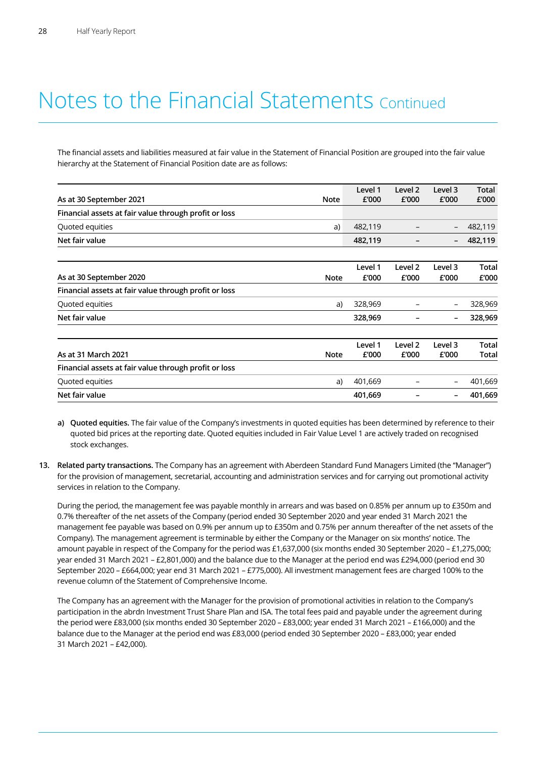## Notes to the Financial Statements Continued

 The financial assets and liabilities measured at fair value in the Statement of Financial Position are grouped into the fair value hierarchy at the Statement of Financial Position date are as follows:

|                                                       |             | Level 1 | Level 2 | Level 3                  | <b>Total</b> |
|-------------------------------------------------------|-------------|---------|---------|--------------------------|--------------|
| As at 30 September 2021                               | Note        | £'000   | £'000   | £'000                    | £'000        |
| Financial assets at fair value through profit or loss |             |         |         |                          |              |
| Quoted equities                                       | a)          | 482,119 |         | $\overline{\phantom{0}}$ | 482,119      |
| Net fair value                                        |             | 482,119 |         | $\overline{\phantom{0}}$ | 482,119      |
|                                                       |             | Level 1 | Level 2 | Level 3                  | Total        |
| As at 30 September 2020                               | Note        | £'000   | £'000   | £'000                    | £'000        |
| Financial assets at fair value through profit or loss |             |         |         |                          |              |
| Quoted equities                                       | a)          | 328,969 |         | $\overline{\phantom{0}}$ | 328,969      |
| Net fair value                                        |             | 328,969 |         | -                        | 328,969      |
|                                                       |             | Level 1 | Level 2 | Level 3                  | <b>Total</b> |
| As at 31 March 2021                                   | <b>Note</b> | £'000   | £'000   | £'000                    | Total        |
| Financial assets at fair value through profit or loss |             |         |         |                          |              |
| Quoted equities                                       | a)          | 401,669 |         | $\overline{\phantom{0}}$ | 401,669      |
| Net fair value                                        |             | 401,669 |         |                          | 401,669      |

- **a) Quoted equities.** The fair value of the Company's investments in quoted equities has been determined by reference to their quoted bid prices at the reporting date. Quoted equities included in Fair Value Level 1 are actively traded on recognised stock exchanges.
- **13. Related party transactions.** The Company has an agreement with Aberdeen Standard Fund Managers Limited (the "Manager") for the provision of management, secretarial, accounting and administration services and for carrying out promotional activity services in relation to the Company.

During the period, the management fee was payable monthly in arrears and was based on 0.85% per annum up to £350m and 0.7% thereafter of the net assets of the Company (period ended 30 September 2020 and year ended 31 March 2021 the management fee payable was based on 0.9% per annum up to £350m and 0.75% per annum thereafter of the net assets of the Company). The management agreement is terminable by either the Company or the Manager on six months' notice. The amount payable in respect of the Company for the period was £1,637,000 (six months ended 30 September 2020 – £1,275,000; year ended 31 March 2021 – £2,801,000) and the balance due to the Manager at the period end was £294,000 (period end 30 September 2020 – £664,000; year end 31 March 2021 – £775,000). All investment management fees are charged 100% to the revenue column of the Statement of Comprehensive Income.

 The Company has an agreement with the Manager for the provision of promotional activities in relation to the Company's participation in the abrdn Investment Trust Share Plan and ISA. The total fees paid and payable under the agreement during the period were £83,000 (six months ended 30 September 2020 – £83,000; year ended 31 March 2021 – £166,000) and the balance due to the Manager at the period end was £83,000 (period ended 30 September 2020 – £83,000; year ended 31 March 2021 – £42,000).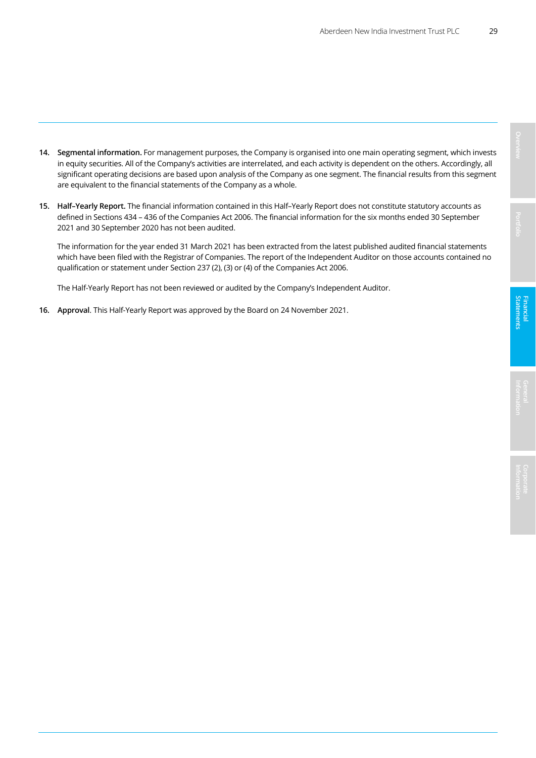- **14. Segmental information.** For management purposes, the Company is organised into one main operating segment, which invests in equity securities. All of the Company's activities are interrelated, and each activity is dependent on the others. Accordingly, all significant operating decisions are based upon analysis of the Company as one segment. The financial results from this segment are equivalent to the financial statements of the Company as a whole.
- **15. Half–Yearly Report.** The financial information contained in this Half–Yearly Report does not constitute statutory accounts as defined in Sections 434 – 436 of the Companies Act 2006. The financial information for the six months ended 30 September 2021 and 30 September 2020 has not been audited.

The information for the year ended 31 March 2021 has been extracted from the latest published audited financial statements which have been filed with the Registrar of Companies. The report of the Independent Auditor on those accounts contained no qualification or statement under Section 237 (2), (3) or (4) of the Companies Act 2006.

The Half-Yearly Report has not been reviewed or audited by the Company's Independent Auditor.

**16. Approval**. This Half-Yearly Report was approved by the Board on 24 November 2021.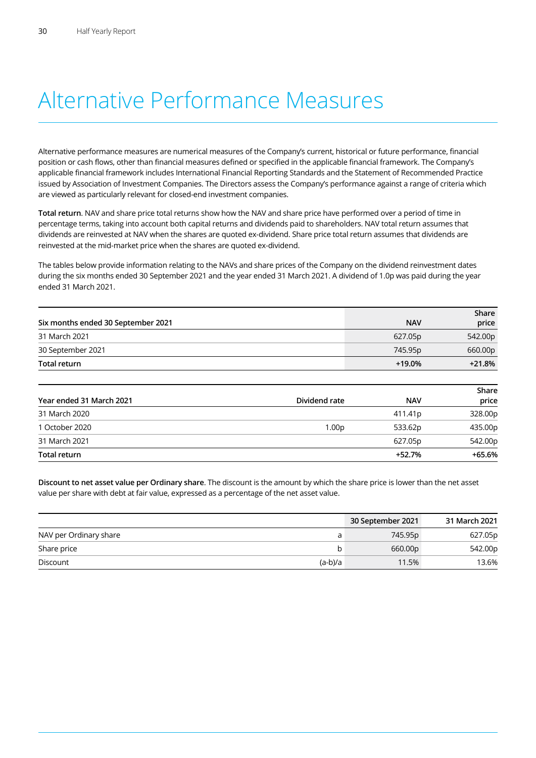## Alternative Performance Measures

Alternative performance measures are numerical measures of the Company's current, historical or future performance, financial position or cash flows, other than financial measures defined or specified in the applicable financial framework. The Company's applicable financial framework includes International Financial Reporting Standards and the Statement of Recommended Practice issued by Association of Investment Companies. The Directors assess the Company's performance against a range of criteria which are viewed as particularly relevant for closed-end investment companies.

**Total return**. NAV and share price total returns show how the NAV and share price have performed over a period of time in percentage terms, taking into account both capital returns and dividends paid to shareholders. NAV total return assumes that dividends are reinvested at NAV when the shares are quoted ex-dividend. Share price total return assumes that dividends are reinvested at the mid-market price when the shares are quoted ex-dividend.

The tables below provide information relating to the NAVs and share prices of the Company on the dividend reinvestment dates during the six months ended 30 September 2021 and the year ended 31 March 2021. A dividend of 1.0p was paid during the year ended 31 March 2021.

|                                    |                     | Share    |
|------------------------------------|---------------------|----------|
| Six months ended 30 September 2021 | <b>NAV</b>          | price    |
| 31 March 2021                      | 627.05p             | 542.00p  |
| 30 September 2021                  | 745.95 <sub>p</sub> | 660.00p  |
| Total return                       | $+19.0%$            | $+21.8%$ |

| Year ended 31 March 2021 | Dividend rate     | <b>NAV</b> | Share<br>price |
|--------------------------|-------------------|------------|----------------|
| 31 March 2020            |                   | 411.41p    | 328.00p        |
| 1 October 2020           | 1.00 <sub>p</sub> | 533.62p    | 435.00p        |
| 31 March 2021            |                   | 627.05p    | 542.00p        |
| Total return             |                   | +52.7%     | $+65.6%$       |

**Discount to net asset value per Ordinary share**. The discount is the amount by which the share price is lower than the net asset value per share with debt at fair value, expressed as a percentage of the net asset value.

|                        |         | 30 September 2021 | 31 March 2021 |
|------------------------|---------|-------------------|---------------|
| NAV per Ordinary share |         | 745.95p           | 627.05p       |
| Share price            |         | 660.00p           | 542.00p       |
| Discount               | (a-b)/a | 11.5%             | 13.6%         |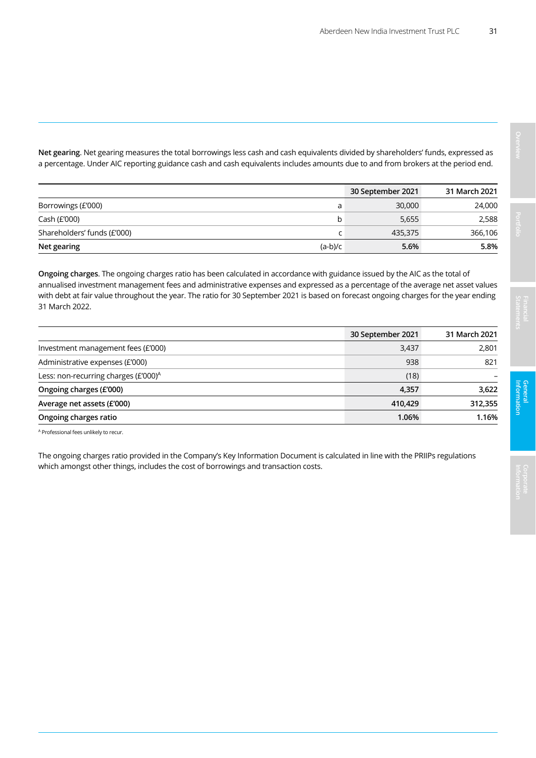**Overview Portfolio Statements** 

**Net gearing**. Net gearing measures the total borrowings less cash and cash equivalents divided by shareholders' funds, expressed as a percentage. Under AIC reporting guidance cash and cash equivalents includes amounts due to and from brokers at the period end.

|                             |           | 30 September 2021 | 31 March 2021 |
|-----------------------------|-----------|-------------------|---------------|
| Borrowings (£'000)          | a         | 30,000            | 24,000        |
| Cash (£'000)                |           | 5,655             | 2.588         |
| Shareholders' funds (£'000) |           | 435,375           | 366,106       |
| Net gearing                 | $(a-b)/c$ | 5.6%              | 5.8%          |

**Ongoing charges**. The ongoing charges ratio has been calculated in accordance with guidance issued by the AIC as the total of annualised investment management fees and administrative expenses and expressed as a percentage of the average net asset values with debt at fair value throughout the year. The ratio for 30 September 2021 is based on forecast ongoing charges for the year ending 31 March 2022.

|                                                  | 30 September 2021 | 31 March 2021 |
|--------------------------------------------------|-------------------|---------------|
| Investment management fees (£'000)               | 3,437             | 2,801         |
| Administrative expenses (£'000)                  | 938               | 821           |
| Less: non-recurring charges (£'000) <sup>A</sup> | (18)              |               |
| Ongoing charges (£'000)                          | 4,357             | 3,622         |
| Average net assets (£'000)                       | 410.429           | 312,355       |
| Ongoing charges ratio                            | 1.06%             | 1.16%         |

A Professional fees unlikely to recur.

The ongoing charges ratio provided in the Company's Key Information Document is calculated in line with the PRIIPs regulations which amongst other things, includes the cost of borrowings and transaction costs.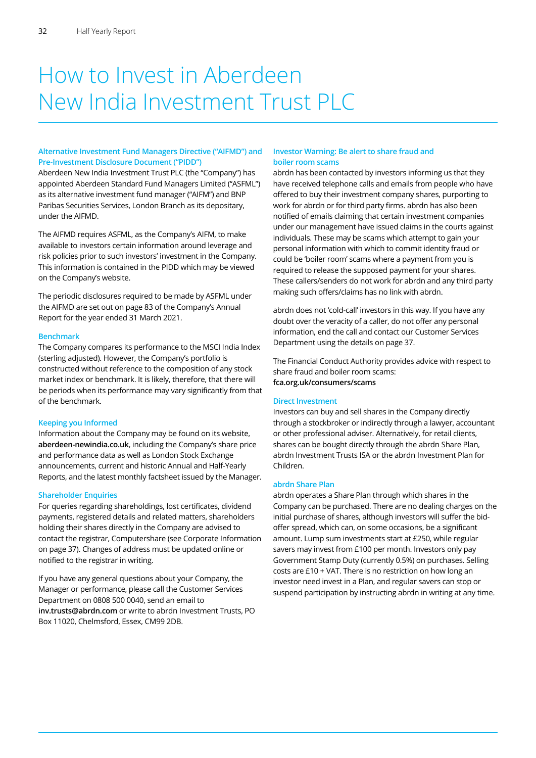## How to Invest in Aberdeen New India Investment Trust PLC

#### **Alternative Investment Fund Managers Directive ("AIFMD") and Pre-Investment Disclosure Document ("PIDD")**

Aberdeen New India Investment Trust PLC (the "Company") has appointed Aberdeen Standard Fund Managers Limited ("ASFML") as its alternative investment fund manager ("AIFM") and BNP Paribas Securities Services, London Branch as its depositary, under the AIFMD.

The AIFMD requires ASFML, as the Company's AIFM, to make available to investors certain information around leverage and risk policies prior to such investors' investment in the Company. This information is contained in the PIDD which may be viewed on the Company's website.

The periodic disclosures required to be made by ASFML under the AIFMD are set out on page 83 of the Company's Annual Report for the year ended 31 March 2021.

#### **Benchmark**

The Company compares its performance to the MSCI India Index (sterling adjusted). However, the Company's portfolio is constructed without reference to the composition of any stock market index or benchmark. It is likely, therefore, that there will be periods when its performance may vary significantly from that of the benchmark.

#### **Keeping you Informed**

Information about the Company may be found on its website, **aberdeen-newindia.co.uk**, including the Company's share price and performance data as well as London Stock Exchange announcements, current and historic Annual and Half-Yearly Reports, and the latest monthly factsheet issued by the Manager.

#### **Shareholder Enquiries**

For queries regarding shareholdings, lost certificates, dividend payments, registered details and related matters, shareholders holding their shares directly in the Company are advised to contact the registrar, Computershare (see Corporate Information on page 37). Changes of address must be updated online or notified to the registrar in writing.

If you have any general questions about your Company, the Manager or performance, please call the Customer Services Department on 0808 500 0040, send an email to **inv.trusts@abrdn.com** or write to abrdn Investment Trusts, PO Box 11020, Chelmsford, Essex, CM99 2DB.

#### **Investor Warning: Be alert to share fraud and boiler room scams**

abrdn has been contacted by investors informing us that they have received telephone calls and emails from people who have offered to buy their investment company shares, purporting to work for abrdn or for third party firms. abrdn has also been notified of emails claiming that certain investment companies under our management have issued claims in the courts against individuals. These may be scams which attempt to gain your personal information with which to commit identity fraud or could be 'boiler room' scams where a payment from you is required to release the supposed payment for your shares. These callers/senders do not work for abrdn and any third party making such offers/claims has no link with abrdn.

abrdn does not 'cold-call' investors in this way. If you have any doubt over the veracity of a caller, do not offer any personal information, end the call and contact our Customer Services Department using the details on page 37.

The Financial Conduct Authority provides advice with respect to share fraud and boiler room scams: **fca.org.uk/consumers/scams**

#### **Direct Investment**

Investors can buy and sell shares in the Company directly through a stockbroker or indirectly through a lawyer, accountant or other professional adviser. Alternatively, for retail clients, shares can be bought directly through the abrdn Share Plan, abrdn Investment Trusts ISA or the abrdn Investment Plan for Children.

#### **abrdn Share Plan**

abrdn operates a Share Plan through which shares in the Company can be purchased. There are no dealing charges on the initial purchase of shares, although investors will suffer the bidoffer spread, which can, on some occasions, be a significant amount. Lump sum investments start at £250, while regular savers may invest from £100 per month. Investors only pay Government Stamp Duty (currently 0.5%) on purchases. Selling costs are £10 + VAT. There is no restriction on how long an investor need invest in a Plan, and regular savers can stop or suspend participation by instructing abrdn in writing at any time.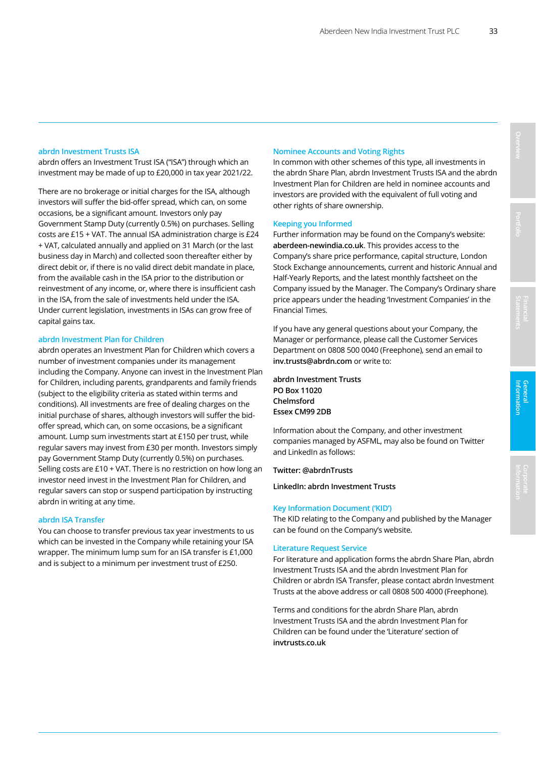### **abrdn Investment Trusts ISA**

abrdn offers an Investment Trust ISA ("ISA") through which an investment may be made of up to £20,000 in tax year 2021/22.

There are no brokerage or initial charges for the ISA, although investors will suffer the bid-offer spread, which can, on some occasions, be a significant amount. Investors only pay Government Stamp Duty (currently 0.5%) on purchases. Selling costs are £15 + VAT. The annual ISA administration charge is £24 + VAT, calculated annually and applied on 31 March (or the last business day in March) and collected soon thereafter either by direct debit or, if there is no valid direct debit mandate in place, from the available cash in the ISA prior to the distribution or reinvestment of any income, or, where there is insufficient cash in the ISA, from the sale of investments held under the ISA. Under current legislation, investments in ISAs can grow free of capital gains tax.

#### **abrdn Investment Plan for Children**

abrdn operates an Investment Plan for Children which covers a number of investment companies under its management including the Company. Anyone can invest in the Investment Plan for Children, including parents, grandparents and family friends (subject to the eligibility criteria as stated within terms and conditions). All investments are free of dealing charges on the initial purchase of shares, although investors will suffer the bidoffer spread, which can, on some occasions, be a significant amount. Lump sum investments start at £150 per trust, while regular savers may invest from £30 per month. Investors simply pay Government Stamp Duty (currently 0.5%) on purchases. Selling costs are £10 + VAT. There is no restriction on how long an investor need invest in the Investment Plan for Children, and regular savers can stop or suspend participation by instructing abrdn in writing at any time.

#### **abrdn ISA Transfer**

You can choose to transfer previous tax year investments to us which can be invested in the Company while retaining your ISA wrapper. The minimum lump sum for an ISA transfer is £1,000 and is subject to a minimum per investment trust of £250.

#### **Nominee Accounts and Voting Rights**

In common with other schemes of this type, all investments in the abrdn Share Plan, abrdn Investment Trusts ISA and the abrdn Investment Plan for Children are held in nominee accounts and investors are provided with the equivalent of full voting and other rights of share ownership.

#### **Keeping you Informed**

Further information may be found on the Company's website: **aberdeen-newindia.co.uk**. This provides access to the Company's share price performance, capital structure, London Stock Exchange announcements, current and historic Annual and Half-Yearly Reports, and the latest monthly factsheet on the Company issued by the Manager. The Company's Ordinary share price appears under the heading 'Investment Companies' in the Financial Times.

If you have any general questions about your Company, the Manager or performance, please call the Customer Services Department on 0808 500 0040 (Freephone), send an email to **inv.trusts@abrdn.com** or write to:

**abrdn Investment Trusts PO Box 11020 Chelmsford Essex CM99 2DB** 

Information about the Company, and other investment companies managed by ASFML, may also be found on Twitter and LinkedIn as follows:

#### **Twitter: @abrdnTrusts**

**LinkedIn: abrdn Investment Trusts** 

#### **Key Information Document ('KID')**

The KID relating to the Company and published by the Manager can be found on the Company's website.

#### **Literature Request Service**

For literature and application forms the abrdn Share Plan, abrdn Investment Trusts ISA and the abrdn Investment Plan for Children or abrdn ISA Transfer, please contact abrdn Investment Trusts at the above address or call 0808 500 4000 (Freephone).

Terms and conditions for the abrdn Share Plan, abrdn Investment Trusts ISA and the abrdn Investment Plan for Children can be found under the 'Literature' section of **invtrusts.co.uk**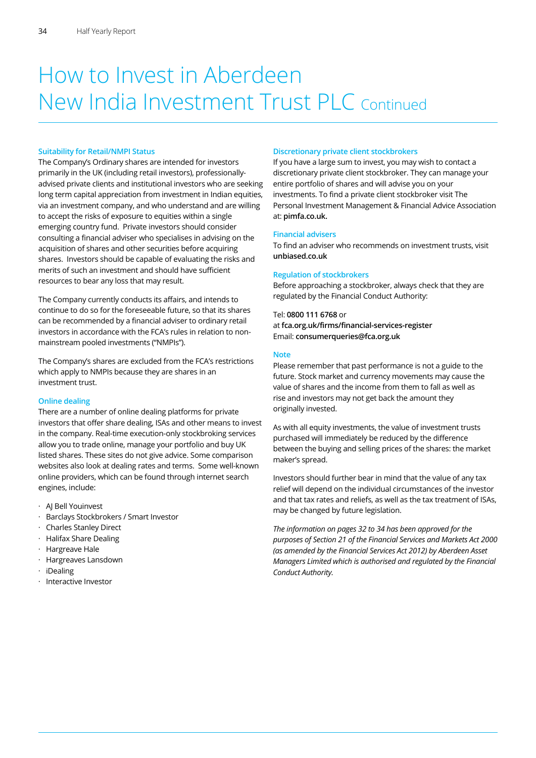## How to Invest in Aberdeen New India Investment Trust PLC Continued

#### **Suitability for Retail/NMPI Status**

The Company's Ordinary shares are intended for investors primarily in the UK (including retail investors), professionallyadvised private clients and institutional investors who are seeking long term capital appreciation from investment in Indian equities, via an investment company, and who understand and are willing to accept the risks of exposure to equities within a single emerging country fund. Private investors should consider consulting a financial adviser who specialises in advising on the acquisition of shares and other securities before acquiring shares. Investors should be capable of evaluating the risks and merits of such an investment and should have sufficient resources to bear any loss that may result.

The Company currently conducts its affairs, and intends to continue to do so for the foreseeable future, so that its shares can be recommended by a financial adviser to ordinary retail investors in accordance with the FCA's rules in relation to nonmainstream pooled investments ("NMPIs").

The Company's shares are excluded from the FCA's restrictions which apply to NMPIs because they are shares in an investment trust.

#### **Online dealing**

There are a number of online dealing platforms for private investors that offer share dealing, ISAs and other means to invest in the company. Real-time execution-only stockbroking services allow you to trade online, manage your portfolio and buy UK listed shares. These sites do not give advice. Some comparison websites also look at dealing rates and terms. Some well-known online providers, which can be found through internet search engines, include:

- ŗ AJ Bell Youinvest
- ŗ Barclays Stockbrokers / Smart Investor
- ŗ Charles Stanley Direct
- $·$  Halifax Share Dealing
- ŗ Hargreave Hale
- Hargreaves Lansdown
- iDealing
- Interactive Investor

#### **Discretionary private client stockbrokers**

If you have a large sum to invest, you may wish to contact a discretionary private client stockbroker. They can manage your entire portfolio of shares and will advise you on your investments. To find a private client stockbroker visit The Personal Investment Management & Financial Advice Association at: **pimfa.co.uk.**

#### **Financial advisers**

To find an adviser who recommends on investment trusts, visit **unbiased.co.uk** 

#### **Regulation of stockbrokers**

Before approaching a stockbroker, always check that they are regulated by the Financial Conduct Authority:

#### Tel: **0800 111 6768** or at **fca.org.uk/firms/financial-services-register** Email: **consumerqueries@fca.org.uk**

#### **Note**

Please remember that past performance is not a guide to the future. Stock market and currency movements may cause the value of shares and the income from them to fall as well as rise and investors may not get back the amount they originally invested.

As with all equity investments, the value of investment trusts purchased will immediately be reduced by the difference between the buying and selling prices of the shares: the market maker's spread.

Investors should further bear in mind that the value of any tax relief will depend on the individual circumstances of the investor and that tax rates and reliefs, as well as the tax treatment of ISAs, may be changed by future legislation.

*The information on pages 32 to 34 has been approved for the purposes of Section 21 of the Financial Services and Markets Act 2000 (as amended by the Financial Services Act 2012) by Aberdeen Asset Managers Limited which is authorised and regulated by the Financial Conduct Authority.*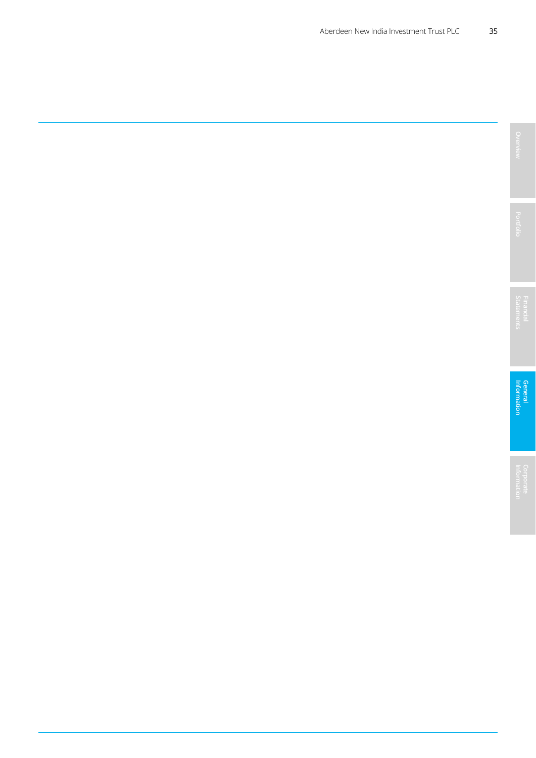Aberdeen New India Investment Trust PLC 35

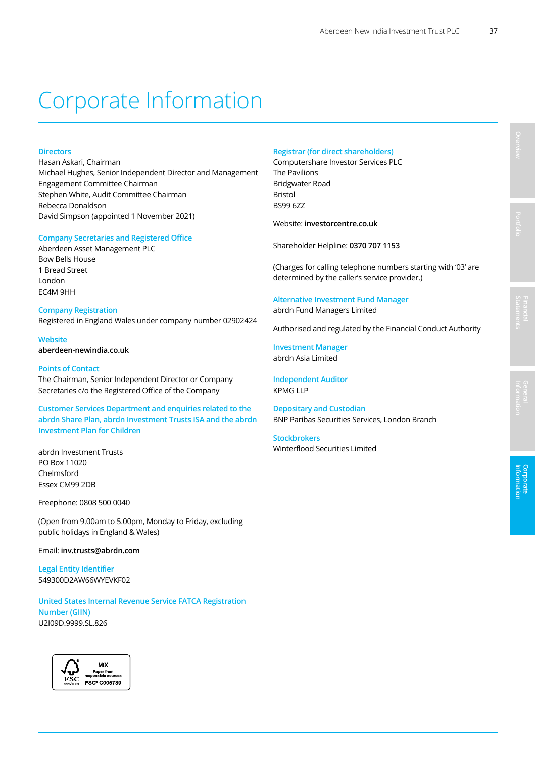## Corporate Information

#### **Directors**

Hasan Askari, Chairman Michael Hughes, Senior Independent Director and Management Engagement Committee Chairman Stephen White, Audit Committee Chairman Rebecca Donaldson David Simpson (appointed 1 November 2021)

#### **Company Secretaries and Registered Office**

Aberdeen Asset Management PLC Bow Bells House 1 Bread Street London EC4M 9HH

**Company Registration**  Registered in England Wales under company number 02902424

**Website aberdeen-newindia.co.uk** 

#### **Points of Contact**

The Chairman, Senior Independent Director or Company Secretaries c/o the Registered Office of the Company

**Customer Services Department and enquiries related to the abrdn Share Plan, abrdn Investment Trusts ISA and the abrdn Investment Plan for Children** 

abrdn Investment Trusts PO Box 11020 Chelmsford Essex CM99 2DB

Freephone: 0808 500 0040

(Open from 9.00am to 5.00pm, Monday to Friday, excluding public holidays in England & Wales)

Email: **inv.trusts@abrdn.com**

**Legal Entity Identifier**  549300D2AW66WYEVKF02

**United States Internal Revenue Service FATCA Registration Number (GIIN)**  U2I09D.9999.SL.826



#### **Registrar (for direct shareholders)**

Computershare Investor Services PLC The Pavilions Bridgwater Road Bristol BS99 6ZZ

Website: **investorcentre.co.uk** 

Shareholder Helpline: **0370 707 1153** 

(Charges for calling telephone numbers starting with '03' are determined by the caller's service provider.)

#### **Alternative Investment Fund Manager**  abrdn Fund Managers Limited

Authorised and regulated by the Financial Conduct Authority

**Investment Manager**  abrdn Asia Limited

**Independent Auditor**  KPMG LLP

**Depositary and Custodian**  BNP Paribas Securities Services, London Branch

**Stockbrokers**  Winterflood Securities Limited